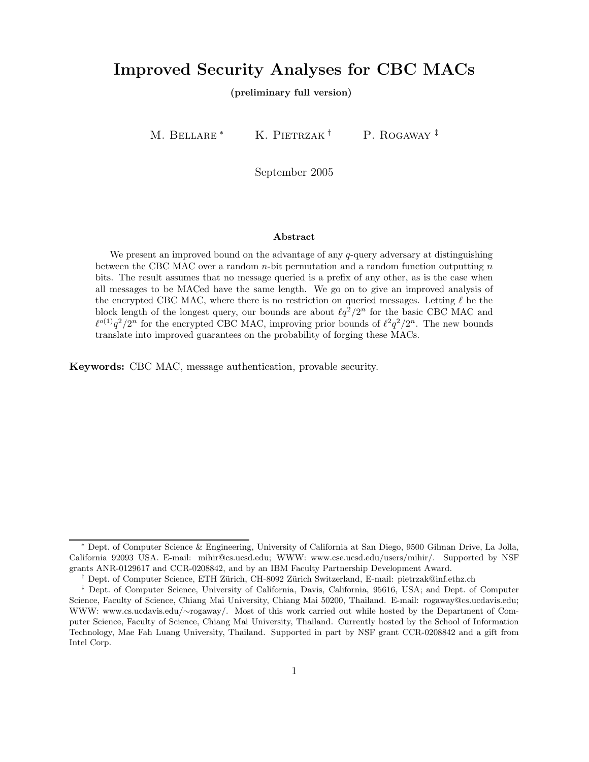# Improved Security Analyses for CBC MACs

(preliminary full version)

M. BELLARE <sup>\*</sup> K. PIETRZAK<sup>†</sup> P. ROGAWAY<sup>‡</sup>

September 2005

#### Abstract

We present an improved bound on the advantage of any  $q$ -query adversary at distinguishing between the CBC MAC over a random  $n$ -bit permutation and a random function outputting  $n$ bits. The result assumes that no message queried is a prefix of any other, as is the case when all messages to be MACed have the same length. We go on to give an improved analysis of the encrypted CBC MAC, where there is no restriction on queried messages. Letting  $\ell$  be the block length of the longest query, our bounds are about  $\ell q^2/2^n$  for the basic CBC MAC and  $\ell^{o(1)}q^2/2^n$  for the encrypted CBC MAC, improving prior bounds of  $\ell^2q^2/2^n$ . The new bounds translate into improved guarantees on the probability of forging these MACs.

Keywords: CBC MAC, message authentication, provable security.

<sup>∗</sup> Dept. of Computer Science & Engineering, University of California at San Diego, 9500 Gilman Drive, La Jolla, California 92093 USA. E-mail: mihir@cs.ucsd.edu; WWW: www.cse.ucsd.edu/users/mihir/. Supported by NSF grants ANR-0129617 and CCR-0208842, and by an IBM Faculty Partnership Development Award.

<sup>&</sup>lt;sup>†</sup> Dept. of Computer Science, ETH Zürich, CH-8092 Zürich Switzerland, E-mail: pietrzak@inf.ethz.ch

<sup>‡</sup> Dept. of Computer Science, University of California, Davis, California, 95616, USA; and Dept. of Computer Science, Faculty of Science, Chiang Mai University, Chiang Mai 50200, Thailand. E-mail: rogaway@cs.ucdavis.edu; WWW: www.cs.ucdavis.edu/∼rogaway/. Most of this work carried out while hosted by the Department of Computer Science, Faculty of Science, Chiang Mai University, Thailand. Currently hosted by the School of Information Technology, Mae Fah Luang University, Thailand. Supported in part by NSF grant CCR-0208842 and a gift from Intel Corp.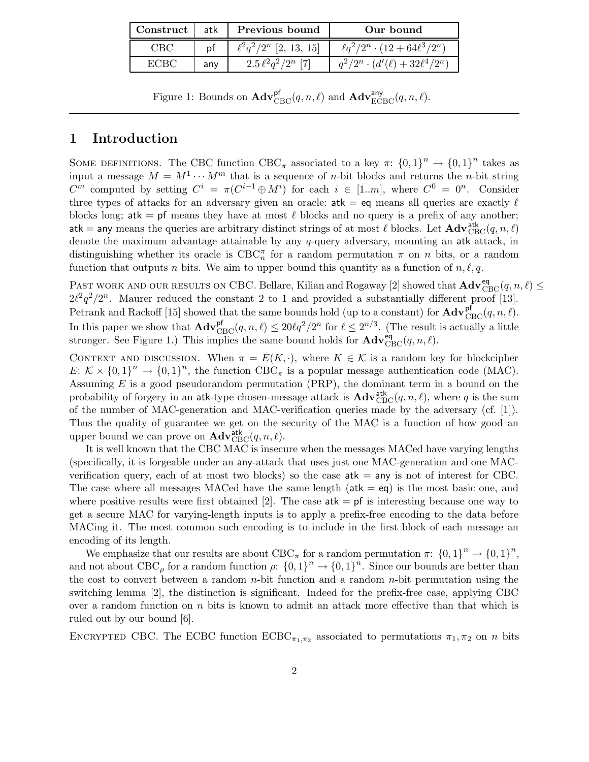| Construct atk |     | Previous bound              | Our bound                                 |
|---------------|-----|-----------------------------|-------------------------------------------|
| CRC           | рf  | $\ell^2q^2/2^n$ [2, 13, 15] | $\ell q^2/2^n \cdot (12 + 64\ell^3/2^n)$  |
| ECRC          | any | $2.5\,\ell^2q^2/2^n$ [7]    | $q^2/2^n \cdot (d'(\ell) + 32\ell^4/2^n)$ |

Figure 1: Bounds on  $\mathbf{Adv}_{\mathrm{CBC}}^{\mathsf{pf}}(q, n, \ell)$  and  $\mathbf{Adv}_{\mathrm{ECBC}}^{\mathsf{any}}(q, n, \ell)$ .

# 1 Introduction

SOME DEFINITIONS. The CBC function  $CBC_{\pi}$  associated to a key  $\pi: \{0,1\}^n \to \{0,1\}^n$  takes as input a message  $M = M^{1} \cdots M^{m}$  that is a sequence of *n*-bit blocks and returns the *n*-bit string  $C^m$  computed by setting  $C^i = \pi(C^{i-1} \oplus M^i)$  for each  $i \in [1..m]$ , where  $C^0 = 0^n$ . Consider three types of attacks for an adversary given an oracle:  $atk = eq$  means all queries are exactly  $\ell$ blocks long; at  $k =$  pf means they have at most  $\ell$  blocks and no query is a prefix of any another;  $\mathsf{atk} = \mathsf{any}$  means the queries are arbitrary distinct strings of at most  $\ell$  blocks. Let  $\mathbf{Adv}^{\mathsf{atk}}_{\mathsf{CBC}}(q, n, \ell)$ denote the maximum advantage attainable by any q-query adversary, mounting an atk attack, in distinguishing whether its oracle is  $\text{CBC}_n^{\pi}$  for a random permutation  $\pi$  on n bits, or a random function that outputs n bits. We aim to upper bound this quantity as a function of  $n, \ell, q$ .

PAST WORK AND OUR RESULTS ON CBC. Bellare, Kilian and Rogaway [2] showed that  $\mathbf{Adv}_{\text{CBC}}^{\text{eq}}(q, n, \ell) \leq$  $2\ell^2 q^2/2^n$ . Maurer reduced the constant 2 to 1 and provided a substantially different proof [13]. Petrank and Rackoff [15] showed that the same bounds hold (up to a constant) for  $\mathbf{Adv}_{\text{CBC}}^{\text{pf}}(q, n, \ell)$ . In this paper we show that  $\mathbf{Adv}_{\text{CBC}}^{\text{pf}}(q, n, \ell) \leq 20\ell q^2/2^n$  for  $\ell \leq 2^{n/3}$ . (The result is actually a little stronger. See Figure 1.) This implies the same bound holds for  $\mathbf{Adv}_{CBC}^{\text{eq}}(q, n, \ell)$ .

CONTEXT AND DISCUSSION. When  $\pi = E(K, \cdot)$ , where  $K \in \mathcal{K}$  is a random key for blockcipher  $E: \mathcal{K} \times \{0,1\}^n \to \{0,1\}^n$ , the function CBC<sub> $\pi$ </sub> is a popular message authentication code (MAC). Assuming  $E$  is a good pseudorandom permutation (PRP), the dominant term in a bound on the probability of forgery in an atk-type chosen-message attack is  $\mathbf{Adv}_{\mathrm{CBC}}^{\mathrm{atk}}(q, n, \ell)$ , where q is the sum of the number of MAC-generation and MAC-verification queries made by the adversary (cf. [1]). Thus the quality of guarantee we get on the security of the MAC is a function of how good an upper bound we can prove on  $\mathbf{Adv}_{\mathrm{CBC}}^{\mathrm{atk}}(q, n, \ell)$ .

It is well known that the CBC MAC is insecure when the messages MACed have varying lengths (specifically, it is forgeable under an any-attack that uses just one MAC-generation and one MACverification query, each of at most two blocks) so the case  $a$ tk  $=$  any is not of interest for CBC. The case where all messages MACed have the same length  $(\text{atk} = \text{eq})$  is the most basic one, and where positive results were first obtained [2]. The case  $a$ tk = pf is interesting because one way to get a secure MAC for varying-length inputs is to apply a prefix-free encoding to the data before MACing it. The most common such encoding is to include in the first block of each message an encoding of its length.

We emphasize that our results are about  $CBC_{\pi}$  for a random permutation  $\pi: \{0,1\}^n \to \{0,1\}^n$ , and not about  $CBC_\rho$  for a random function  $\rho: \{0,1\}^n \to \{0,1\}^n$ . Since our bounds are better than the cost to convert between a random  $n$ -bit function and a random  $n$ -bit permutation using the switching lemma [2], the distinction is significant. Indeed for the prefix-free case, applying CBC over a random function on  $n$  bits is known to admit an attack more effective than that which is ruled out by our bound [6].

ENCRYPTED CBC. The ECBC function  $ECBC_{\pi_1,\pi_2}$  associated to permutations  $\pi_1, \pi_2$  on n bits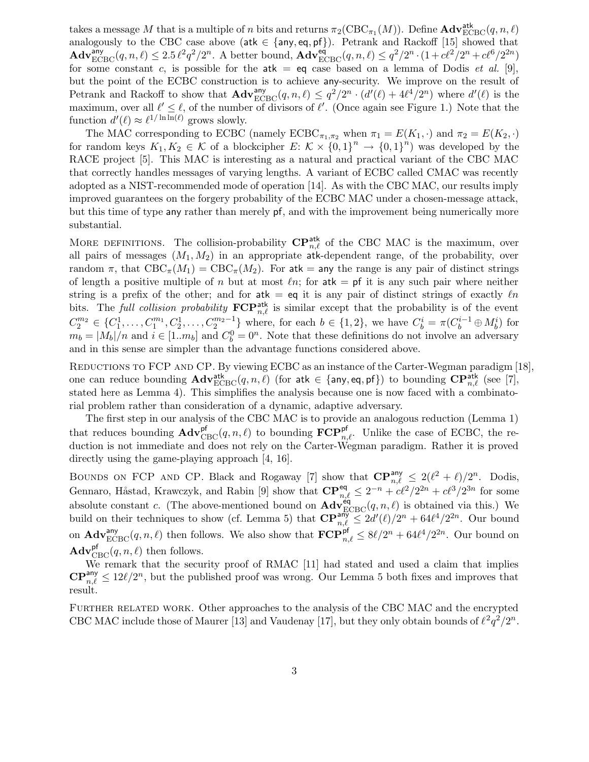takes a message M that is a multiple of n bits and returns  $\pi_2(\text{CBC}_{\pi_1}(M))$ . Define  $\text{Adv}_{\text{ECBC}}^{\text{atk}}(q, n, \ell)$ analogously to the CBC case above (atk  $\in$  {any, eq, pf}). Petrank and Rackoff [15] showed that  $\mathbf{Adv}_{\mathbf{ECBC}}^{\mathsf{any}}(q, n, \ell) \leq 2.5 \ell^2 q^2 / 2^n$ . A better bound,  $\mathbf{Adv}_{\mathbf{ECBC}}^{\mathsf{eq}}(q, n, \ell) \leq q^2 / 2^n \cdot (1 + c\ell^2 / 2^n + c\ell^6 / 2^{2n})$ for some constant c, is possible for the atk = eq case based on a lemma of Dodis et al. [9], but the point of the ECBC construction is to achieve any-security. We improve on the result of Petrank and Rackoff to show that  $\mathbf{Adv}_{\text{ECBC}}^{any}(q, n, \ell) \leq q^2/2^n \cdot (d'(\ell) + 4\ell^4/2^n)$  where  $d'(\ell)$  is the maximum, over all  $\ell' \leq \ell$ , of the number of divisors of  $\ell'$ . (Once again see Figure 1.) Note that the function  $d'(\ell) \approx \ell^{1/\ln \ln(\ell)}$  grows slowly.

The MAC corresponding to ECBC (namely  $ECBC_{\pi_1,\pi_2}$  when  $\pi_1 = E(K_1, \cdot)$  and  $\pi_2 = E(K_2, \cdot)$ for random keys  $K_1, K_2 \in \mathcal{K}$  of a blockcipher  $E: \mathcal{K} \times \{0,1\}^n \to \{0,1\}^n$  was developed by the RACE project [5]. This MAC is interesting as a natural and practical variant of the CBC MAC that correctly handles messages of varying lengths. A variant of ECBC called CMAC was recently adopted as a NIST-recommended mode of operation [14]. As with the CBC MAC, our results imply improved guarantees on the forgery probability of the ECBC MAC under a chosen-message attack, but this time of type any rather than merely pf, and with the improvement being numerically more substantial.

MORE DEFINITIONS. The collision-probability  $\mathbf{CP}_{n,\ell}^{\text{atk}}$  of the CBC MAC is the maximum, over all pairs of messages  $(M_1, M_2)$  in an appropriate atk-dependent range, of the probability, over random  $\pi$ , that  $CBC_{\pi}(M_1) = CBC_{\pi}(M_2)$ . For atk = any the range is any pair of distinct strings of length a positive multiple of n but at most  $ln$ ; for atk = pf it is any such pair where neither string is a prefix of the other; and for atk = eq it is any pair of distinct strings of exactly  $\ell n$ bits. The full collision probability  $\mathbf{FCP}_{n,\ell}^{\text{atk}}$  is similar except that the probability is of the event  $C_2^{m_2} \in \{C_1^1, \ldots, C_1^{m_1}, C_2^1, \ldots, C_2^{m_2-1}\}\$  where, for each  $b \in \{1,2\}$ , we have  $C_b^i = \pi(C_b^{i-1} \oplus M_b^i)$  for  $m_b = |M_b|/n$  and  $i \in [1..m_b]$  and  $C_b^0 = 0^n$ . Note that these definitions do not involve an adversary and in this sense are simpler than the advantage functions considered above.

REDUCTIONS TO FCP AND CP. By viewing ECBC as an instance of the Carter-Wegman paradigm [18], one can reduce bounding  $\mathbf{Adv}^{\mathsf{atk}}_{\text{ECBC}}(q,n,\ell)$  (for  $\mathsf{atk} \in \{\mathsf{any},\mathsf{eq},\mathsf{pf}\})$  to bounding  $\mathbf{CP}^{\mathsf{atk}}_{n,\ell}$  (see [7], stated here as Lemma 4). This simplifies the analysis because one is now faced with a combinatorial problem rather than consideration of a dynamic, adaptive adversary.

The first step in our analysis of the CBC MAC is to provide an analogous reduction (Lemma 1) that reduces bounding  $\mathbf{Adv}_{CBC}^{\mathsf{pf}}(q, n, \ell)$  to bounding  $\mathbf{FCP}_{n,\ell}^{\mathsf{pf}}$ . Unlike the case of ECBC, the reduction is not immediate and does not rely on the Carter-Wegman paradigm. Rather it is proved directly using the game-playing approach [4, 16].

BOUNDS ON FCP AND CP. Black and Rogaway [7] show that  $\mathbf{CP}_{n,\ell}^{\mathsf{any}} \leq 2(\ell^2 + \ell)/2^n$ . Dodis, Gennaro, Håstad, Krawczyk, and Rabin [9] show that  $\mathbf{CP}_{n,\ell}^{\text{eq}} \leq 2^{-n} + c\ell^2/2^{2n} + c\ell^3/2^{3n}$  for some absolute constant c. (The above-mentioned bound on  $\mathbf{Adv}_{\text{ECBC}}^{\text{eq}}(q, n, \ell)$  is obtained via this.) We build on their techniques to show (cf. Lemma 5) that  $\mathbb{CP}_{n,\ell}^{\text{an}\widetilde{\mathsf{y}}} \leq 2d'(\ell)/2^n + 64\ell^4/2^{2n}$ . Our bound on  $\mathbf{Adv}_{\text{ECBC}}^{\text{any}}(q, n, \ell)$  then follows. We also show that  $\mathbf{FCP}_{n,\ell}^{\text{pf}} \leq 8\ell/2^n + 64\ell^4/2^{2n}$ . Our bound on  $\mathbf{Adv}_{\mathrm{CBC}}^{\mathsf{pf}}(q, n, \ell)$  then follows.

We remark that the security proof of RMAC [11] had stated and used a claim that implies  $\mathbb{CP}_{n,\ell}^{\mathsf{any}} \leq 12\ell/2^n$ , but the published proof was wrong. Our Lemma 5 both fixes and improves that result.

FURTHER RELATED WORK. Other approaches to the analysis of the CBC MAC and the encrypted CBC MAC include those of Maurer [13] and Vaudenay [17], but they only obtain bounds of  $\ell^2 q^2/2^n$ .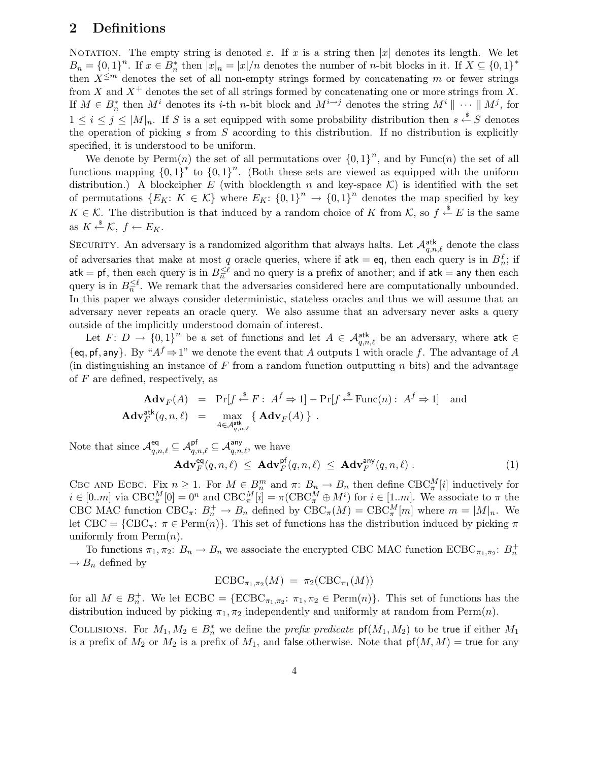# 2 Definitions

NOTATION. The empty string is denoted  $\varepsilon$ . If x is a string then |x| denotes its length. We let  $B_n = \{0,1\}^n$ . If  $x \in B_n^*$  then  $|x|_n = |x|/n$  denotes the number of *n*-bit blocks in it. If  $X \subseteq \{0,1\}^*$ then  $X^{\leq m}$  denotes the set of all non-empty strings formed by concatenating m or fewer strings from X and  $X^+$  denotes the set of all strings formed by concatenating one or more strings from X. If  $M \in B_n^*$  then  $M^i$  denotes its *i*-th *n*-bit block and  $M^{i \to j}$  denotes the string  $M^i \parallel \cdots \parallel M^j$ , for  $1 \leq i \leq j \leq |M|_n$ . If S is a set equipped with some probability distribution then  $s \stackrel{\$}{\leftarrow} S$  denotes the operation of picking s from  $S$  according to this distribution. If no distribution is explicitly specified, it is understood to be uniform.

We denote by  $\text{Perm}(n)$  the set of all permutations over  $\{0,1\}^n$ , and by  $\text{Func}(n)$  the set of all functions mapping  ${0,1}^*$  to  ${0,1}^n$ . (Both these sets are viewed as equipped with the uniform distribution.) A blockcipher E (with blocklength n and key-space  $\mathcal{K}$ ) is identified with the set of permutations  $\{E_K: K \in \mathcal{K}\}\$  where  $E_K: \{0,1\}^n \to \{0,1\}^n$  denotes the map specified by key  $K \in \mathcal{K}$ . The distribution is that induced by a random choice of K from  $\mathcal{K}$ , so  $f \stackrel{\$}{\leftarrow} E$  is the same as  $K \xleftarrow{\$} \mathcal{K}, f \leftarrow E_K$ .

SECURITY. An adversary is a randomized algorithm that always halts. Let  $\mathcal{A}_{q,n,\ell}^{\text{atk}}$  denote the class of adversaries that make at most q oracle queries, where if  $ak = eq$ , then each query is in  $B_n^{\ell}$ ; if  $\mathsf{atk} = \mathsf{pf},$  then each query is in  $B_n^{\leq \ell}$  and no query is a prefix of another; and if  $\mathsf{atk} = \mathsf{any}$  then each query is in  $B_n^{\leq \ell}$ . We remark that the adversaries considered here are computationally unbounded. In this paper we always consider deterministic, stateless oracles and thus we will assume that an adversary never repeats an oracle query. We also assume that an adversary never asks a query outside of the implicitly understood domain of interest.

Let  $F: D \to \{0,1\}^n$  be a set of functions and let  $A \in \mathcal{A}_{q,n,\ell}^{\text{atk}}$  be an adversary, where atk  $\in$  $\{eq, pf, any\}$ . By " $A<sup>f</sup> \Rightarrow 1$ " we denote the event that A outputs 1 with oracle f. The advantage of A (in distinguishing an instance of  $F$  from a random function outputting  $n$  bits) and the advantage of  $F$  are defined, respectively, as

$$
\mathbf{Adv}_F(A) = \Pr[f \stackrel{\$}{\leftarrow} F : A^f \Rightarrow 1] - \Pr[f \stackrel{\$}{\leftarrow} \text{Func}(n) : A^f \Rightarrow 1] \text{ and}
$$

$$
\mathbf{Adv}_F^{\text{atk}}(q, n, \ell) = \max_{A \in \mathcal{A}_{q, n, \ell}^{\text{atk}}} \{ \mathbf{Adv}_F(A) \} .
$$

Note that since  $\mathcal{A}_{q,n,\ell}^{\textsf{eq}} \subseteq \mathcal{A}_{q,n,\ell}^{\textsf{pf}} \subseteq \mathcal{A}_{q,n,\ell}^{\textsf{any}},$  we have

$$
\mathbf{Adv}_{F}^{\text{eq}}(q, n, \ell) \leq \mathbf{Adv}_{F}^{\text{pf}}(q, n, \ell) \leq \mathbf{Adv}_{F}^{\text{any}}(q, n, \ell) . \tag{1}
$$

CBC AND ECBC. Fix  $n \geq 1$ . For  $M \in B_n^m$  and  $\pi: B_n \to B_n$  then define  $CBC_{\pi}^M[i]$  inductively for  $i \in [0..m]$  via  $\text{CBC}_{\pi}^M[0] = 0^n$  and  $\text{CBC}_{\pi}^M[i] = \pi(\text{CBC}_{\pi}^M \oplus M^i)$  for  $i \in [1..m]$ . We associate to  $\pi$  the CBC MAC function CBC<sub> $\pi$ </sub>:  $B_n^+ \to B_n$  defined by  $CBC_{\pi}(M) = CBC_{\pi}^M[m]$  where  $m = |M|_n$ . We let CBC = {CBC<sub>π</sub>:  $\pi \in \text{Perm}(n)$ }. This set of functions has the distribution induced by picking  $\pi$ uniformly from  $\text{Perm}(n)$ .

To functions  $\pi_1, \pi_2$ :  $B_n \to B_n$  we associate the encrypted CBC MAC function  $ECBC_{\pi_1, \pi_2}$ :  $B_n^+$  $\rightarrow B_n$  defined by

$$
\text{ECBC}_{\pi_1, \pi_2}(M) = \pi_2(\text{CBC}_{\pi_1}(M))
$$

for all  $M \in B_n^+$ . We let  $ECBC = \{ECBC_{\pi_1,\pi_2}: \pi_1, \pi_2 \in \text{Perm}(n)\}.$  This set of functions has the distribution induced by picking  $\pi_1, \pi_2$  independently and uniformly at random from Perm $(n)$ .

COLLISIONS. For  $M_1, M_2 \in B_n^*$  we define the *prefix predicate*  $\mathsf{pf}(M_1, M_2)$  to be true if either  $M_1$ is a prefix of  $M_2$  or  $M_2$  is a prefix of  $M_1$ , and false otherwise. Note that  ${\sf pf}(M, M) = {\sf true}$  for any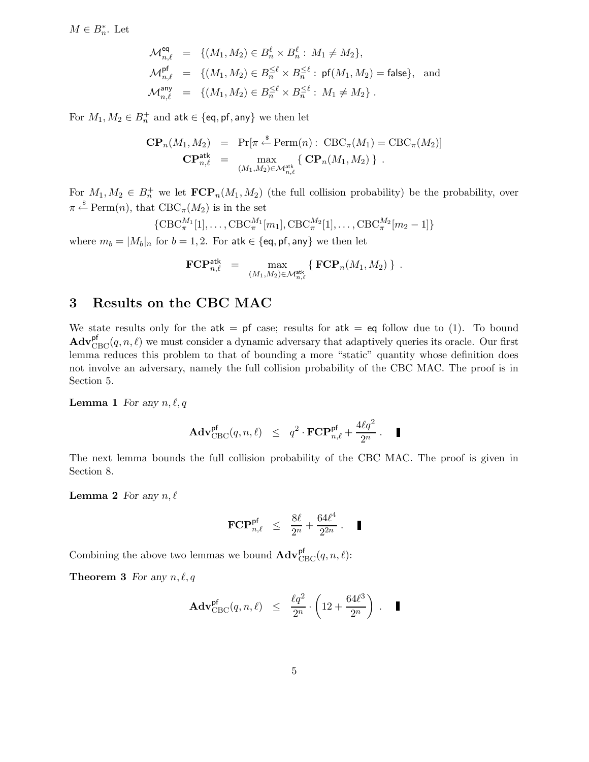$M \in B_n^*$ . Let

$$
\mathcal{M}_{n,\ell}^{\text{eq}} = \{ (M_1, M_2) \in B_n^{\ell} \times B_n^{\ell} : M_1 \neq M_2 \},\
$$
  
\n
$$
\mathcal{M}_{n,\ell}^{\text{pf}} = \{ (M_1, M_2) \in B_n^{\leq \ell} \times B_n^{\leq \ell} : \text{pf}(M_1, M_2) = \text{false} \}, \text{ and}
$$
  
\n
$$
\mathcal{M}_{n,\ell}^{\text{any}} = \{ (M_1, M_2) \in B_n^{\leq \ell} \times B_n^{\leq \ell} : M_1 \neq M_2 \}.
$$

For  $M_1, M_2 \in B_n^+$  and  $\mathsf{atk} \in \{\mathsf{eq},\mathsf{pf},\mathsf{any}\}$  we then let

$$
\mathbf{CP}_n(M_1, M_2) = \Pr[\pi \stackrel{\text{s}}{\leftarrow} \text{Perm}(n): \text{CBC}_\pi(M_1) = \text{CBC}_\pi(M_2)]
$$
  

$$
\mathbf{CP}_{n,\ell}^{\text{atk}} = \max_{(M_1, M_2) \in \mathcal{M}_{n,\ell}^{\text{atk}}} \{ \mathbf{CP}_n(M_1, M_2) \} .
$$

For  $M_1, M_2 \in B_n^+$  we let  $\mathbf{FCP}_n(M_1, M_2)$  (the full collision probability) be the probability, over  $\pi \stackrel{\hspace{0.1em}\mathsf{\scriptscriptstyle\$}}{\leftarrow} \mathrm{Perm}(n)$ , that  $\mathrm{CBC}_{\pi}(M_2)$  is in the set

{
$$
\text{CBC}_{\pi}^{M_1}[1], \ldots, \text{CBC}_{\pi}^{M_1}[m_1], \text{CBC}_{\pi}^{M_2}[1], \ldots, \text{CBC}_{\pi}^{M_2}[m_2-1]\}
$$

where  $m_b = |M_b|_n$  for  $b = 1, 2$ . For atk  $\in$  {eq, pf, any} we then let

$$
\mathbf{FCP}_{n,\ell}^{\mathsf{atk}} \;\; = \;\; \max_{(M_1,M_2) \in \mathcal{M}_{n,\ell}^{\mathsf{atk}}} \{ \; \mathbf{FCP}_n(M_1,M_2) \; \} \enspace .
$$

# 3 Results on the CBC MAC

We state results only for the  $atk = pf$  case; results for  $atk = eq$  follow due to (1). To bound  $\mathbf{Adv}_{\mathrm{CBC}}^{\mathrm{pf}}(q, n, \ell)$  we must consider a dynamic adversary that adaptively queries its oracle. Our first lemma reduces this problem to that of bounding a more "static" quantity whose definition does not involve an adversary, namely the full collision probability of the CBC MAC. The proof is in Section 5.

### **Lemma 1** For any  $n, \ell, q$

$$
\mathbf{Adv}^{\mathsf{pf}}_{\mathsf{CBC}}(q,n,\ell) \leq q^2 \cdot \mathbf{FCP}^{\mathsf{pf}}_{n,\ell} + \frac{4\ell q^2}{2^n} \,. \quad \blacksquare
$$

The next lemma bounds the full collision probability of the CBC MAC. The proof is given in Section 8.

**Lemma 2** For any  $n, \ell$ 

$$
\mathbf{FCP}_{n,\ell}^{\mathsf{pf}} \ \leq \ \frac{8\ell}{2^n} + \frac{64\ell^4}{2^{2n}} \ . \quad \blacksquare
$$

Combining the above two lemmas we bound  $\mathbf{Adv}_{\mathrm{CBC}}^{\mathrm{pf}}(q, n, \ell)$ :

**Theorem 3** For any  $n, \ell, q$ 

$$
\text{Adv}^{\text{pf}}_{\text{CBC}}(q,n,\ell) \ \leq \ \frac{\ell q^2}{2^n} \cdot \left(12 + \frac{64 \ell^3}{2^n} \right) \ . \quad \blacksquare
$$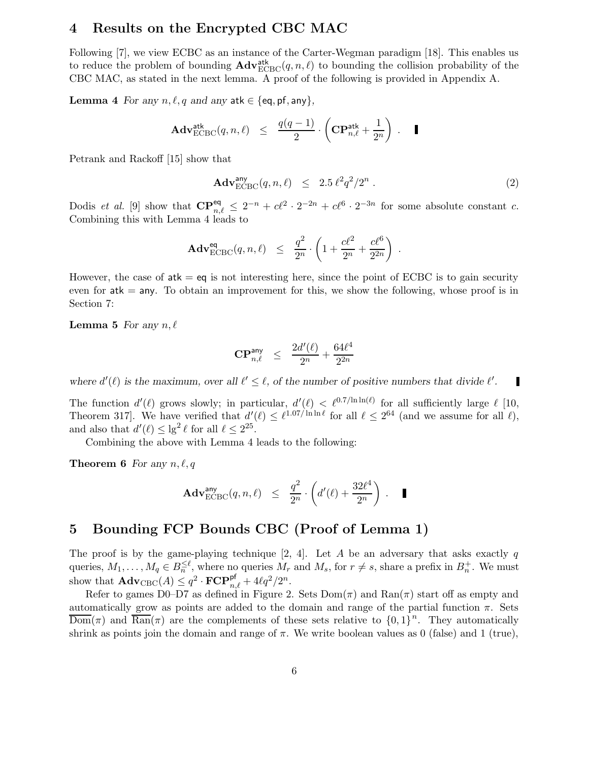# 4 Results on the Encrypted CBC MAC

Following [7], we view ECBC as an instance of the Carter-Wegman paradigm [18]. This enables us to reduce the problem of bounding  $\mathbf{Adv}_{\text{ECBC}}^{\text{atk}}(q, n, \ell)$  to bounding the collision probability of the CBC MAC, as stated in the next lemma. A proof of the following is provided in Appendix A.

**Lemma** 4 For any  $n, \ell, q$  and any atk  $\in \{eq, pf, any\}$ ,

$$
\mathbf{Adv}^{\mathsf{atk}}_{\mathrm{ECBC}}(q,n,\ell) \leq \frac{q(q-1)}{2} \cdot \left( \mathbf{CP}^{\mathsf{atk}}_{n,\ell} + \frac{1}{2^n} \right) . \quad \blacksquare
$$

Petrank and Rackoff [15] show that

$$
\mathbf{Adv}_{\mathrm{ECBC}}^{\mathrm{any}}(q, n, \ell) \leq 2.5 \,\ell^2 q^2 / 2^n \,. \tag{2}
$$

.

Dodis *et al.* [9] show that  $\mathbf{CP}_{n,\ell}^{\text{eq}} \leq 2^{-n} + c\ell^2 \cdot 2^{-2n} + c\ell^6 \cdot 2^{-3n}$  for some absolute constant c. Combining this with Lemma 4 leads to

$$
\mathbf{Adv}^{\text{eq}}_{\text{ECBC}}(q,n,\ell) \leq \frac{q^2}{2^n} \cdot \left(1 + \frac{c\ell^2}{2^n} + \frac{c\ell^6}{2^{2n}}\right)
$$

However, the case of  $ak = eq$  is not interesting here, since the point of ECBC is to gain security even for  $atk = any$ . To obtain an improvement for this, we show the following, whose proof is in Section 7:

**Lemma 5** For any  $n, \ell$ 

$$
\mathbf{CP}^{\mathrm{any}}_{n,\ell} \quad \leq \quad \frac{2d'(\ell)}{2^n} + \frac{64\ell^4}{2^{2n}}
$$

where  $d'(\ell)$  is the maximum, over all  $\ell' \leq \ell$ , of the number of positive numbers that divide  $\ell'$ . П

The function  $d'(\ell)$  grows slowly; in particular,  $d'(\ell) < \ell^{0.7/\ln \ln(\ell)}$  for all sufficiently large  $\ell$  [10, Theorem 317. We have verified that  $d'(\ell) \leq \ell^{1.07/\ln \ln \ell}$  for all  $\ell \leq 2^{64}$  (and we assume for all  $\ell$ ), and also that  $d'(\ell) \leq \lg^2 \ell$  for all  $\ell \leq 2^{25}$ .

Combining the above with Lemma 4 leads to the following:

**Theorem 6** For any  $n, \ell, q$ 

$$
\mathbf{Adv}^{\text{any}}_{\text{ECBC}}(q, n, \ell) \leq \frac{q^2}{2^n} \cdot \left(d'(\ell) + \frac{32\ell^4}{2^n}\right) . \quad \blacksquare
$$

# 5 Bounding FCP Bounds CBC (Proof of Lemma 1)

The proof is by the game-playing technique [2, 4]. Let A be an adversary that asks exactly q queries,  $M_1, \ldots, M_q \in B_n^{\leq \ell}$ , where no queries  $M_r$  and  $M_s$ , for  $r \neq s$ , share a prefix in  $B_n^+$ . We must show that  $\mathbf{Adv}_{\mathrm{CBC}}(A) \leq q^2 \cdot \mathbf{FCP}_{n,\ell}^{\mathsf{pf}} + 4\ell q^2/2^n$ .

Refer to games D0–D7 as defined in Figure 2. Sets  $Dom(\pi)$  and  $Ran(\pi)$  start off as empty and automatically grow as points are added to the domain and range of the partial function  $\pi$ . Sets  $\overline{\mathrm{Dom}}(\pi)$  and  $\overline{\mathrm{Ran}}(\pi)$  are the complements of these sets relative to  ${0,1}^n$ . They automatically shrink as points join the domain and range of  $\pi$ . We write boolean values as 0 (false) and 1 (true),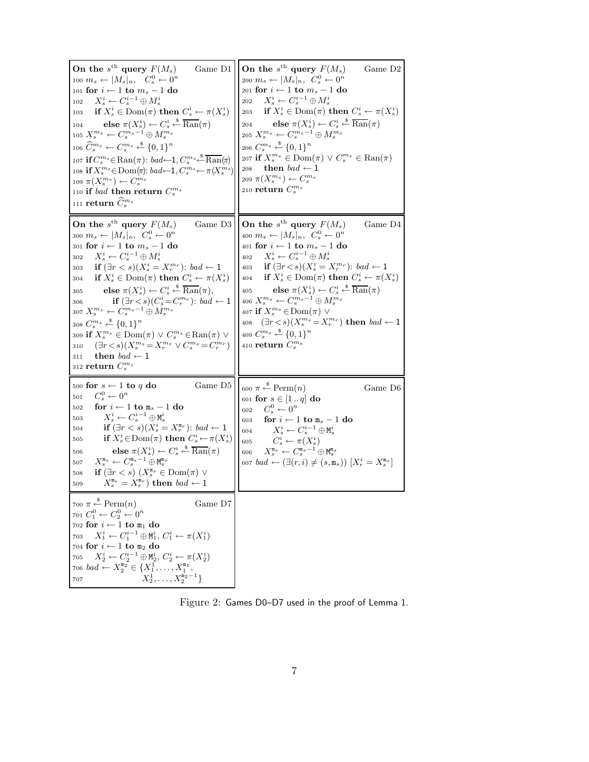| On the $s^{\text{th}}$ query $F(M_s)$<br>Game $D1$<br>100 $m_s \leftarrow  M_s _n$ , $C_s^0 \leftarrow 0^n$<br>101 for $i \leftarrow 1$ to $m_s - 1$ do<br>$X_s^i \leftarrow C_s^{i-1} \oplus M_s^i$<br>102<br>if $X_s^i \in \text{Dom}(\pi)$ then $C_s^i \leftarrow \pi(X_s^i)$<br>103<br>else $\pi(X_s^i) \leftarrow C_s^i \stackrel{\hspace{0.1em}\mathsf{\scriptscriptstyle\$}}{\leftarrow} \overline{\text{Ran}}(\pi)$<br>104<br>105 $X_s^{m_s} \leftarrow C_s^{m_s-1} \oplus M_s^{m_s}$<br>106 $\widehat{C}_s^{m_s} \leftarrow C_s^{m_s} \stackrel{\$}{\leftarrow} \{0,1\}^n$<br>107 if $C_s^{m_s} \in \text{Ran}(\pi)$ : $bad \leftarrow 1, C_s^{m_s} \stackrel{\$}{\leftarrow} \overline{\text{Ran}}(\pi)$<br>108 if $X_s^{m_s} \in \text{Dom}(\pi)$ : bad $\leftarrow$ 1, $C_s^{m_s} \leftarrow \pi(X_s^{m_s})$<br>109 $\pi(X_s^{m_s}) \leftarrow C_s^{m_s}$<br>110 if bad then return $C_s^{m_s}$<br>111 return $\widehat{C}^{m_s}_s$ | On the $s^{\text{th}}$ query $F(M_s)$<br>Game D <sub>2</sub><br>200 $m_s \leftarrow  M_s _n, C_s^0 \leftarrow 0^n$<br>$_{201}$ for $i\leftarrow 1$ to $m_s-1$ do<br>$X_s^i \leftarrow C_s^{i-1} \oplus M_s^i$<br>202<br>203 if $X_s^i \in \text{Dom}(\pi)$ then $C_s^i \leftarrow \pi(X_s^i)$<br>204 else $\pi(X_s^i) \leftarrow C_s^i \stackrel{\$}{\leftarrow} \overline{\text{Ran}}(\pi)$<br>205 $X_{s}^{m_{s}} \leftarrow C_{s}^{m_{s}-1} \oplus M_{s}^{m_{s}}$<br>206 $C_s^{m_s} \xleftarrow{\$} \{0,1\}^n$<br>207 if $X_s^{m_s} \in \text{Dom}(\pi) \lor C_s^{m_s} \in \text{Ran}(\pi)$<br>208 then $bad \leftarrow 1$<br>209 $\pi(X_s^{m_s}) \leftarrow C_s^{m_s}$<br>210 return $C_s^{m_s}$                  |
|-------------------------------------------------------------------------------------------------------------------------------------------------------------------------------------------------------------------------------------------------------------------------------------------------------------------------------------------------------------------------------------------------------------------------------------------------------------------------------------------------------------------------------------------------------------------------------------------------------------------------------------------------------------------------------------------------------------------------------------------------------------------------------------------------------------------------------------------------------------------------------------------------------------------------------------------------|----------------------------------------------------------------------------------------------------------------------------------------------------------------------------------------------------------------------------------------------------------------------------------------------------------------------------------------------------------------------------------------------------------------------------------------------------------------------------------------------------------------------------------------------------------------------------------------------------------------------------------------------------------------------------------------------------------------------|
| On the $s^{\text{th}}$ query $F(M_s)$<br>Game D3<br>300 $m_s \leftarrow  M_s _n$ , $C_s^0 \leftarrow 0^n$<br>$_{301}$ for $i\leftarrow 1$ to $m_s-1$ do<br>$X_s^i \leftarrow C_s^{i-1} \oplus M_s^i$<br>302<br>if $(\exists r < s)(X_s^i = X_r^{m_r})$ : bad $\leftarrow$ 1<br>303<br>if $X_s^i \in \text{Dom}(\pi)$ then $C_s^i \leftarrow \pi(X_s^i)$<br>304<br>else $\pi(X_s^i) \leftarrow C_s^i \stackrel{\$}{\leftarrow} \overline{\text{Ran}}(\pi)$ ,<br>305<br>if $(\exists r < s)(C_s^i = C_r^{m_r})$ : bad $\leftarrow$ 1<br>306<br>307 $X_s^{m_s} \leftarrow C_s^{m_s-1} \oplus M_s^{m_s}$<br>308 $C_s^{m_s} \xleftarrow{\$} \{0,1\}^n$<br>309 if $X_s^{m_s} \in \text{Dom}(\pi) \vee C_s^{m_s} \in \text{Ran}(\pi) \vee$<br>$(\exists r < s)(X_s^{m_s} = X_r^{m_r} \vee C_s^{m_s} = C_r^{m_r})$<br>310<br>then $bad \leftarrow 1$<br>311<br>312 return $C_s^{m_s}$                                                                   | On the $s^{\text{th}}$ query $F(M_s)$<br>Game D4<br>400 $m_s \leftarrow  M_s _n, C_s^0 \leftarrow 0^n$<br>401 for $i \leftarrow 1$ to $m_s - 1$ do<br>$X_s^i \leftarrow C_s^{i-1} \oplus M_s^i$<br>402<br>403 if $(\exists r < s)(X_s^i = X_r^{m_r})$ : bad $\leftarrow$ 1<br>404 if $X_s^i \in \text{Dom}(\pi)$ then $C_s^i \leftarrow \pi(X_s^i)$<br>405 <b>else</b> $\pi(X_s^i) \leftarrow C_s^i \stackrel{\$}{\leftarrow} \overline{\text{Ran}}(\pi)$<br>406 $X_s^{m_s} \leftarrow C_s^{m_s-1} \oplus M_s^{m_s}$<br>407 if $X_s^{m_s} \in \text{Dom}(\pi)$ $\vee$<br>408 $(\exists r < s)(X_s^{m_s} = X_r^{m_r})$ then $bad \leftarrow 1$<br>409 $C_s^{m_s} \xleftarrow{\$} \{0,1\}^n$<br>410 return $C_s^{m_s}$ |
| 500 for $s \leftarrow 1$ to q do<br>Game D <sub>5</sub><br>$C_s^0 \leftarrow 0^n$<br>501<br>for $i \leftarrow 1$ to $m_s - 1$ do<br>502<br>$X_s^i \leftarrow C_s^{i-1} \oplus \texttt{M}_s^i$<br>503<br>if $(\exists r < s)(X_s^i = X_r^{\mathfrak{m}_r})$ : bad $\leftarrow$ 1<br>504<br>if $X_s^i \in \text{Dom}(\pi)$ then $C_s^i \leftarrow \pi(X_s^i)$<br>505<br>else $\pi(X_s^i) \leftarrow C_s^i \stackrel{\$}{\leftarrow} \overline{\text{Ran}}(\pi)$<br>506<br>$X_{s}^{\mathtt{m}_{s}}\leftarrow C_{s}^{\mathtt{m}_{s}-1}\oplus \mathtt{M}_{s}^{\mathtt{m}_{s}}$<br>507<br>if $(\exists r < s) (X_s^{\mathfrak{m}_s} \in \text{Dom}(\pi) \vee$<br>508<br>$X_s^{\mathfrak{m}_s} = X_r^{\mathfrak{m}_r}$ then $bad \leftarrow 1$<br>509                                                                                                                                                                                                  | 600 $\pi \stackrel{\hspace{0.1em}\mathsf{\scriptscriptstyle\$}}{\leftarrow} \text{Perm}(n)$<br>Game D6<br>601 for $s \in [1 \dots q]$ do<br>$C_s^0 \leftarrow 0^n$<br>602<br>for $i \leftarrow 1$ to $m_s - 1$ do<br>603<br>$X_s^i \leftarrow C_s^{i-1} \oplus \texttt{M}_s^i$<br>604<br>$C_s^i \leftarrow \pi(X_s^i)$<br>605<br>606 $X_s^{\mathfrak{m}_s} \leftarrow C_s^{\mathfrak{m}_s-1} \oplus \mathsf{M}_s^{\mathfrak{m}_s}$<br>607 $bad \leftarrow (\exists (r, i) \neq (s, m_s)) [X_r^i = X_s^{m_s}]$                                                                                                                                                                                                        |
| 700 $\pi \overset{\hspace{0.1em}\mathsf{\scriptscriptstyle\$}}{\leftarrow} \text{Perm}(n)$<br>Game D7<br>$701\ C_1^0 \leftarrow C_2^0 \leftarrow 0^n$<br>702 for $i \leftarrow 1$ to $\texttt{m}_1$ do<br>$X_1^i \leftarrow C_1^{i-1} \oplus M_1^i, C_1^i \leftarrow \pi(X_1^i)$<br>703<br>704 for $i \leftarrow 1$ to m <sub>2</sub> do<br>$X_2^i \leftarrow C_2^{i-1} \oplus \texttt{M}_2^i,\, C_2^i \leftarrow \pi(X_2^i)$<br>705<br>706 bad $\leftarrow X_2^{\mathfrak{m}_2} \in \{X_1^1, \ldots, X_1^{\mathfrak{m}_1}, \ldots, X_2^{\mathfrak{m}_2} \}$<br>707 $X_2^1, \ldots, X_2^{\mathfrak{m}_2} \}$                                                                                                                                                                                                                                                                                                                                    |                                                                                                                                                                                                                                                                                                                                                                                                                                                                                                                                                                                                                                                                                                                      |

Figure 2: Games D0–D7 used in the proof of Lemma 1.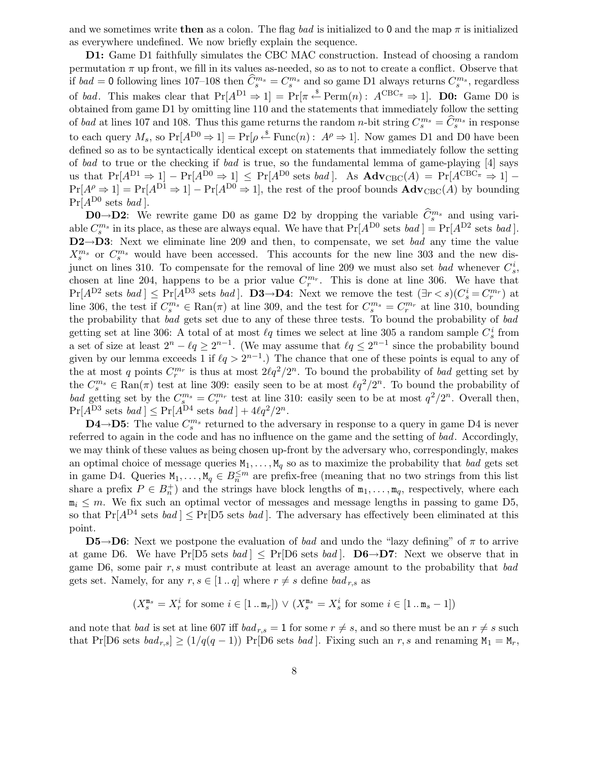and we sometimes write then as a colon. The flag bad is initialized to 0 and the map  $\pi$  is initialized as everywhere undefined. We now briefly explain the sequence.

D1: Game D1 faithfully simulates the CBC MAC construction. Instead of choosing a random permutation  $\pi$  up front, we fill in its values as-needed, so as to not to create a conflict. Observe that if  $bad = 0$  following lines 107–108 then  $\widehat{C}_{s}^{m_s} = C_{s}^{m_s}$  and so game D1 always returns  $C_{s}^{m_s}$ , regardless of bad. This makes clear that  $Pr[A^{D1} \Rightarrow 1] = Pr[\pi \stackrel{\$}{\leftarrow} Perm(n): A^{CBC_{\pi}} \Rightarrow 1]$ . **D0:** Game D0 is obtained from game D1 by omitting line 110 and the statements that immediately follow the setting of bad at lines 107 and 108. Thus this game returns the random *n*-bit string  $C_s^{m_s} = \hat{C}_s^{m_s}$  in response to each query  $M_s$ , so  $Pr[A^{D0} \Rightarrow 1] = Pr[\rho \stackrel{s}{\leftarrow} Func(n): A^{\rho} \Rightarrow 1]$ . Now games D1 and D0 have been defined so as to be syntactically identical except on statements that immediately follow the setting of bad to true or the checking if bad is true, so the fundamental lemma of game-playing [4] says us that  $Pr[A^{D1} \Rightarrow 1] - Pr[A^{\overline{D}0} \Rightarrow 1] \leq Pr[A^{D0} \text{ sets } bad].$  As  $Adv_{CBC}(A) = Pr[A^{CBC_{\pi}} \Rightarrow 1] Pr[A^{\rho} \Rightarrow 1] = Pr[A^{D1} \Rightarrow 1] - Pr[A^{D0} \Rightarrow 1]$ , the rest of the proof bounds  $Adv_{CBC}(A)$  by bounding  $Pr[A^{D0} \text{ sets } bad].$ 

**D0→D2:** We rewrite game D0 as game D2 by dropping the variable  $\widehat{C}_{s}^{m_s}$  and using variable  $C_s^{m_s}$  in its place, as these are always equal. We have that  $Pr[A^{D0}$  sets  $bad] = Pr[A^{D2}$  sets  $bad]$ . D2→D3: Next we eliminate line 209 and then, to compensate, we set *bad* any time the value  $X_s^{m_s}$  or  $C_s^{m_s}$  would have been accessed. This accounts for the new line 303 and the new disjunct on lines 310. To compensate for the removal of line 209 we must also set *bad* whenever  $C_s^i$ , chosen at line 204, happens to be a prior value  $C_r^{m_r}$ . This is done at line 306. We have that  $Pr[A^{D2} \text{ sets } bad] \leq Pr[A^{D3} \text{ sets } bad].$  **D3→D4**: Next we remove the test  $(\exists r < s)(C_s^i = C_r^{m_r})$  at line 306, the test if  $C_s^{m_s} \in \text{Ran}(\pi)$  at line 309, and the test for  $C_s^{m_s} = C_r^{m_r}$  at line 310, bounding the probability that bad gets set due to any of these three tests. To bound the probability of bad getting set at line 306: A total of at most  $\ell q$  times we select at line 305 a random sample  $C_s^i$  from a set of size at least  $2^n - \ell q \geq 2^{n-1}$ . (We may assume that  $\ell q \leq 2^{n-1}$  since the probability bound given by our lemma exceeds 1 if  $\ell q > 2^{n-1}$ .) The chance that one of these points is equal to any of the at most q points  $C_r^{m_r}$  is thus at most  $2\ell q^2/2^n$ . To bound the probability of bad getting set by the  $C_s^{m_s} \in \text{Ran}(\pi)$  test at line 309: easily seen to be at most  $\ell q^2/2^n$ . To bound the probability of bad getting set by the  $C_s^{m_s} = C_r^{m_r}$  test at line 310: easily seen to be at most  $q^2/2^n$ . Overall then,  $Pr[A^{D3} \text{ sets } bad] \leq Pr[A^{D4} \text{ sets } bad] + 4\ell q^2/2^n.$ 

D4→D5: The value  $C_s^{m_s}$  returned to the adversary in response to a query in game D4 is never referred to again in the code and has no influence on the game and the setting of bad. Accordingly, we may think of these values as being chosen up-front by the adversary who, correspondingly, makes an optimal choice of message queries  $M_1, \ldots, M_q$  so as to maximize the probability that bad gets set in game D4. Queries  $M_1, \ldots, M_q \in B_n^{\leq m}$  are prefix-free (meaning that no two strings from this list share a prefix  $P \in B_n^+$  and the strings have block lengths of  $m_1, \ldots, m_q$ , respectively, where each  $m_i \leq m$ . We fix such an optimal vector of messages and message lengths in passing to game D5, so that  $Pr[A^{D4} \text{ sets } bad] \leq Pr[D5 \text{ sets } bad]$ . The adversary has effectively been eliminated at this point.

 $\mathbf{D5}\rightarrow\mathbf{D6}$ : Next we postpone the evaluation of bad and undo the "lazy defining" of  $\pi$  to arrive at game D6. We have Pr[D5 sets bad]  $\leq$  Pr[D6 sets bad]. **D6** $\rightarrow$ **D7**: Next we observe that in game D6, some pair  $r, s$  must contribute at least an average amount to the probability that bad gets set. Namely, for any  $r, s \in [1..q]$  where  $r \neq s$  define  $bad_{r,s}$  as

$$
(X^{\mathtt{m}_s}_s = X^i_r \text{ for some } i \in [1\mathinner{.\,.} \mathtt{m}_r]) \,\vee\, (X^{\mathtt{m}_s}_s = X^i_s \text{ for some } i \in [1\mathinner{.\,.} \mathtt{m}_s-1])
$$

and note that bad is set at line 607 iff  $bad_{r,s} = 1$  for some  $r \neq s$ , and so there must be an  $r \neq s$  such that Pr[D6 sets  $bad_{r,s} \geq (1/q(q-1))$  Pr[D6 sets bad]. Fixing such an r, s and renaming  $M_1 = M_r$ ,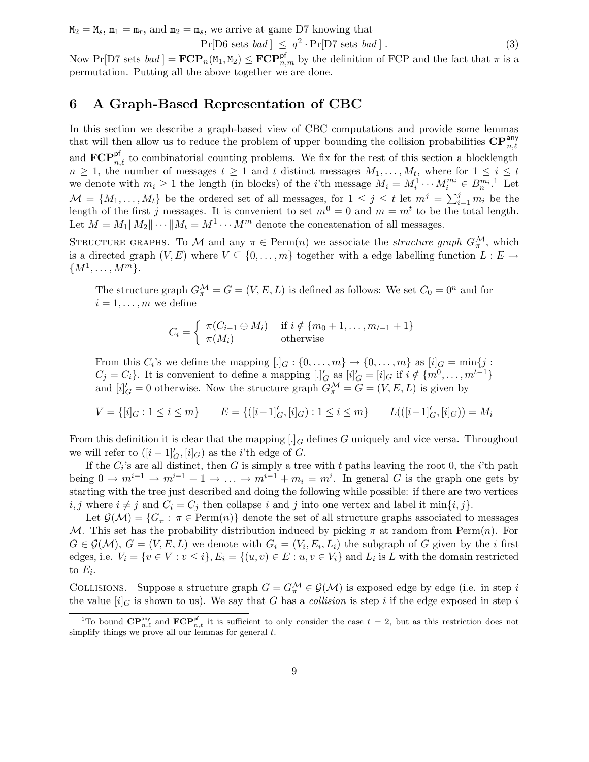$M_2 = M_s$ ,  $m_1 = m_r$ , and  $m_2 = m_s$ , we arrive at game D7 knowing that

 $Pr[D6 \text{ sets } bad] \leq q^2 \cdot Pr[D7 \text{ sets } bad].$  (3)

Now Pr[D7 sets  $bad$ ] =  $\text{FCP}_n(M_1, M_2) \leq \text{FCP}_{n,m}^{pf}$  by the definition of FCP and the fact that  $\pi$  is a permutation. Putting all the above together we are done.

# 6 A Graph-Based Representation of CBC

In this section we describe a graph-based view of CBC computations and provide some lemmas that will then allow us to reduce the problem of upper bounding the collision probabilities  $\mathbf{CP}_{n,\ell}^{\mathsf{any}}$ and  $\mathbf{FCP}_{n,\ell}^{\mathsf{pf}}$  to combinatorial counting problems. We fix for the rest of this section a blocklength  $n \geq 1$ , the number of messages  $t \geq 1$  and t distinct messages  $M_1, \ldots, M_t$ , where for  $1 \leq i \leq t$ we denote with  $m_i \geq 1$  the length (in blocks) of the *i*'th message  $M_i = M_i^1 \cdots M_i^{m_i} \in B_i^{m_i}$ .<sup>1</sup> Let  $\mathcal{M} = \{M_1, \ldots, M_t\}$  be the ordered set of all messages, for  $1 \leq j \leq t$  let  $m^j = \sum_{i=1}^j m_i$  be the length of the first j messages. It is convenient to set  $m^0 = 0$  and  $m = m^t$  to be the total length. Let  $M = M_1||M_2||\cdots||M_t = M^1 \cdots M^m$  denote the concatenation of all messages.

STRUCTURE GRAPHS. To M and any  $\pi \in \text{Perm}(n)$  we associate the *structure graph*  $G_{\pi}^{\mathcal{M}}$ , which is a directed graph  $(V, E)$  where  $V \subseteq \{0, \ldots, m\}$  together with a edge labelling function  $L : E \rightarrow$  ${M^1, \ldots, M^m}$ .

The structure graph  $G_{\pi}^{\mathcal{M}} = G = (V, E, L)$  is defined as follows: We set  $C_0 = 0^n$  and for  $i = 1, \ldots, m$  we define

$$
C_i = \begin{cases} \pi(C_{i-1} \oplus M_i) & \text{if } i \notin \{m_0 + 1, \dots, m_{t-1} + 1\} \\ \pi(M_i) & \text{otherwise} \end{cases}
$$

From this  $C_i$ 's we define the mapping  $[.]_G: \{0, \ldots, m\} \to \{0, \ldots, m\}$  as  $[i]_G = \min\{j :$  $C_j = C_i$ . It is convenient to define a mapping  $[.]'_G$  as  $[i]'_G = [i]_G$  if  $i \notin \{m^0, \ldots, m^{t-1}\}\$ and  $[i]'_G = 0$  otherwise. Now the structure graph  $G^{\mathcal{M}}_{\pi} = G = (V, E, L)$  is given by

$$
V = \{ [i]_G : 1 \leq i \leq m \} \qquad E = \{ ([i-1]'_G, [i]_G) : 1 \leq i \leq m \} \qquad L(([i-1]'_G, [i]_G)) = M_i
$$

From this definition it is clear that the mapping  $[.]_G$  defines G uniquely and vice versa. Throughout we will refer to  $([i-1]_G', [i]_G)$  as the *i*'th edge of G.

If the  $C_i$ 's are all distinct, then G is simply a tree with t paths leaving the root 0, the i'th path being  $0 \to m^{i-1} \to m^{i-1} + 1 \to \ldots \to m^{i-1} + m_i = m^i$ . In general G is the graph one gets by starting with the tree just described and doing the following while possible: if there are two vertices i, j where  $i \neq j$  and  $C_i = C_j$  then collapse i and j into one vertex and label it min $\{i, j\}$ .

Let  $\mathcal{G}(\mathcal{M}) = \{G_\pi : \pi \in \text{Perm}(n)\}\$  denote the set of all structure graphs associated to messages M. This set has the probability distribution induced by picking  $\pi$  at random from Perm $(n)$ . For  $G \in \mathcal{G}(\mathcal{M}), G = (V, E, L)$  we denote with  $G_i = (V_i, E_i, L_i)$  the subgraph of G given by the i first edges, i.e.  $V_i = \{v \in V : v \leq i\}, E_i = \{(u, v) \in E : u, v \in V_i\}$  and  $L_i$  is L with the domain restricted to  $E_i$ .

COLLISIONS. Suppose a structure graph  $G = G_{\pi}^{\mathcal{M}} \in \mathcal{G}(\mathcal{M})$  is exposed edge by edge (i.e. in step i the value  $[i]_G$  is shown to us). We say that G has a collision is step i if the edge exposed in step i

<sup>&</sup>lt;sup>1</sup>To bound  $\mathbf{CP}_{n,\ell}^{\text{any}}$  and  $\mathbf{FCP}_{n,\ell}^{\text{pf}}$  it is sufficient to only consider the case  $t = 2$ , but as this restriction does not simplify things we prove all our lemmas for general  $t$ .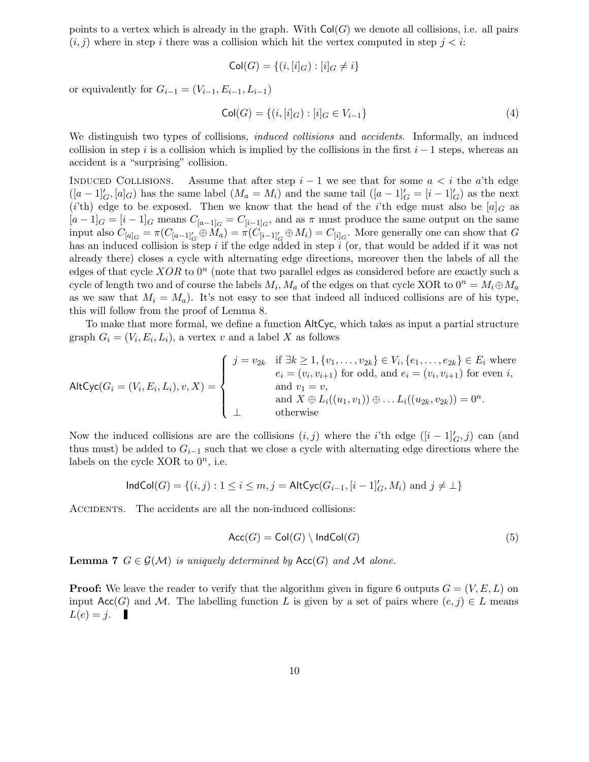points to a vertex which is already in the graph. With  $\text{Col}(G)$  we denote all collisions, i.e. all pairs  $(i, j)$  where in step i there was a collision which hit the vertex computed in step  $j < i$ :

$$
Col(G) = \{(i, [i]_G) : [i]_G \neq i\}
$$

or equivalently for  $G_{i-1} = (V_{i-1}, E_{i-1}, L_{i-1})$ 

$$
Col(G) = \{(i, [i]_G) : [i]_G \in V_{i-1}\}\tag{4}
$$

We distinguish two types of collisions, *induced collisions* and *accidents*. Informally, an induced collision in step i is a collision which is implied by the collisions in the first  $i - 1$  steps, whereas an accident is a "surprising" collision.

INDUCED COLLISIONS. Assume that after step  $i-1$  we see that for some  $a < i$  the a'th edge  $([a-1]_G', [a]_G)$  has the same label  $(M_a = M_i)$  and the same tail  $([a-1]_G' = [i-1]_G')$  as the next (i'th) edge to be exposed. Then we know that the head of the i'th edge must also be  $[a]_G$  as  $[a-1]_G = [i-1]_G$  means  $C_{[a-1]_G} = C_{[i-1]_G}$ , and as  $\pi$  must produce the same output on the same input also  $C_{[a]_G} = \pi(C_{[a-1]_G'} \oplus M_a) = \pi(C_{[i-1]_G'} \oplus M_i) = C_{[i]_G}$ . More generally one can show that G has an induced collision is step i if the edge added in step  $i$  (or, that would be added if it was not already there) closes a cycle with alternating edge directions, moreover then the labels of all the edges of that cycle  $XOR$  to  $0<sup>n</sup>$  (note that two parallel edges as considered before are exactly such a cycle of length two and of course the labels  $M_i$ ,  $M_a$  of the edges on that cycle XOR to  $0^n = M_i \oplus M_a$ as we saw that  $M_i = M_a$ ). It's not easy to see that indeed all induced collisions are of his type, this will follow from the proof of Lemma 8.

To make that more formal, we define a function AltCyc, which takes as input a partial structure graph  $G_i = (V_i, E_i, L_i)$ , a vertex v and a label X as follows

\n
$$
\text{AltCyc}(G_i = (V_i, E_i, L_i), v, X) =\n \begin{cases}\n j = v_{2k} & \text{if } \exists k \geq 1, \{v_1, \ldots, v_{2k}\} \in V_i, \{e_1, \ldots, e_{2k}\} \in E_i \text{ where } e_i = (v_i, v_{i+1}) \text{ for odd, and } e_i = (v_i, v_{i+1}) \text{ for even } i, \text{ and } v_1 = v, \\
\text{and } X \oplus L_i((u_1, v_1)) \oplus \ldots L_i((u_{2k}, v_{2k})) = 0^n.\n \end{cases}
$$
\n

Now the induced collisions are are the collisions  $(i, j)$  where the *i*'th edge  $([i - 1]_G', j)$  can (and thus must) be added to  $G_{i-1}$  such that we close a cycle with alternating edge directions where the labels on the cycle XOR to  $0^n$ , i.e.

$$
\mathsf{IndCol}(G) = \{(i,j): 1 \leq i \leq m, j = \mathsf{AltCyc}(G_{i-1}, [i-1]_G', M_i) \text{ and } j \neq \bot\}
$$

ACCIDENTS. The accidents are all the non-induced collisions:

$$
\mathsf{Acc}(G) = \mathsf{Col}(G) \setminus \mathsf{IndCol}(G) \tag{5}
$$

**Lemma 7**  $G \in \mathcal{G}(\mathcal{M})$  is uniquely determined by Acc(G) and M alone.

**Proof:** We leave the reader to verify that the algorithm given in figure 6 outputs  $G = (V, E, L)$  on input Acc(G) and M. The labelling function L is given by a set of pairs where  $(e, j) \in L$  means  $L(e) = j.$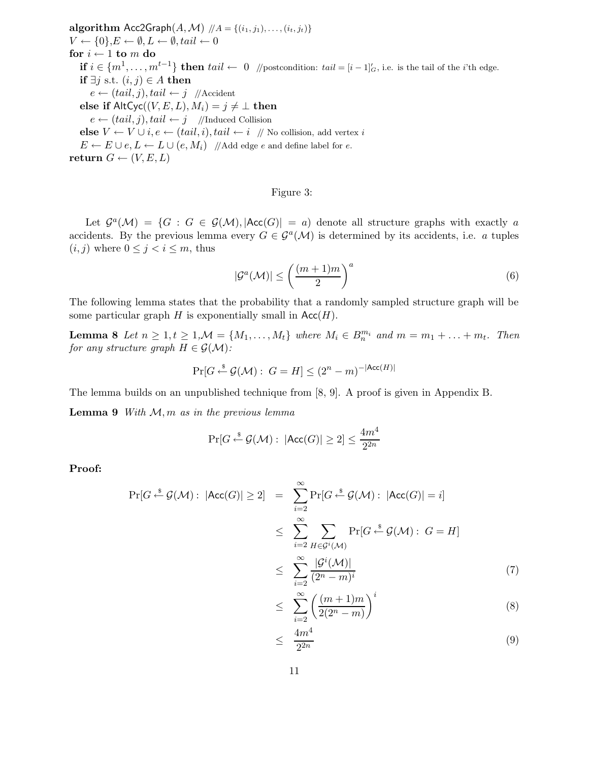algorithm  $Acc2Graph(A, M)$   $// A = \{(i_1, j_1), \ldots, (i_t, j_t)\}$  $V \leftarrow \{0\}, E \leftarrow \emptyset, L \leftarrow \emptyset, tail \leftarrow 0$ for  $i \leftarrow 1$  to  $m$  do **if**  $i \in \{m^1, \ldots, m^{t-1}\}$  then  $tail \leftarrow 0$  //postcondition:  $tail = [i-1]_G'$ , i.e. is the tail of the *i*'th edge. **if**  $\exists j$  s.t.  $(i, j) \in A$  **then**  $e \leftarrow (tail, j), tail \leftarrow j$  //Accident else if  $\mathsf{AltCyc}((V, E, L), M_i) = j \neq \bot$  then  $e \leftarrow (tail, j), tail \leftarrow j$  //Induced Collision **else**  $V \leftarrow V \cup i, e \leftarrow (tail, i), tail \leftarrow i \text{ // No collision, add vertex } i$  $E \leftarrow E \cup e, L \leftarrow L \cup (e, M_i)$  //Add edge e and define label for e. return  $G \leftarrow (V, E, L)$ 

#### Figure 3:

Let  $\mathcal{G}^a(\mathcal{M}) = \{G : G \in \mathcal{G}(\mathcal{M}), |\text{Acc}(G)| = a\}$  denote all structure graphs with exactly a accidents. By the previous lemma every  $G \in \mathcal{G}^a(\mathcal{M})$  is determined by its accidents, i.e. a tuples  $(i, j)$  where  $0 \leq j < i \leq m$ , thus

$$
|\mathcal{G}^a(\mathcal{M})| \le \left(\frac{(m+1)m}{2}\right)^a \tag{6}
$$

The following lemma states that the probability that a randomly sampled structure graph will be some particular graph H is exponentially small in  $Acc(H)$ .

**Lemma 8** Let  $n \geq 1, t \geq 1, \mathcal{M} = \{M_1, \ldots, M_t\}$  where  $M_i \in B_n^{m_i}$  and  $m = m_1 + \ldots + m_t$ . Then for any structure graph  $H \in \mathcal{G}(\mathcal{M})$ :

$$
\Pr[G \stackrel{\$}{\leftarrow} \mathcal{G}(\mathcal{M}): G = H] \leq (2^n - m)^{-|\text{Acc}(H)|}
$$

The lemma builds on an unpublished technique from [8, 9]. A proof is given in Appendix B.

**Lemma 9** With  $M, m$  as in the previous lemma

$$
\Pr[G \stackrel{\$}{\leftarrow} \mathcal{G}(\mathcal{M}): |\mathsf{Acc}(G)| \ge 2] \le \frac{4m^4}{2^{2n}}
$$

Proof:

$$
\Pr[G \stackrel{\$}{\leftarrow} \mathcal{G}(\mathcal{M}) : |\text{Acc}(G)| \ge 2] = \sum_{i=2}^{\infty} \Pr[G \stackrel{\$}{\leftarrow} \mathcal{G}(\mathcal{M}) : |\text{Acc}(G)| = i]
$$
  

$$
\leq \sum_{i=2}^{\infty} \sum_{H \in \mathcal{G}^i(\mathcal{M})} \Pr[G \stackrel{\$}{\leftarrow} \mathcal{G}(\mathcal{M}) : G = H]
$$
  

$$
\leq \sum_{i=2}^{\infty} \frac{|\mathcal{G}^i(\mathcal{M})|}{(2^n - m)^i}
$$
(7)

$$
\leq \sum_{i=2}^{\infty} \left( \frac{(m+1)m}{2(2^n-m)} \right)^i \tag{8}
$$

$$
\leq \frac{4m^4}{2^{2n}} \tag{9}
$$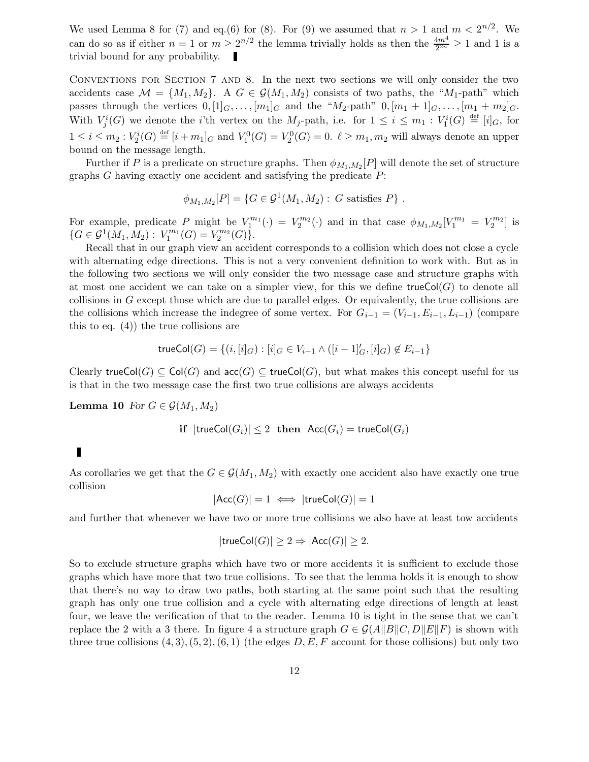We used Lemma 8 for (7) and eq.(6) for (8). For (9) we assumed that  $n > 1$  and  $m < 2^{n/2}$ . We can do so as if either  $n = 1$  or  $m \ge 2^{n/2}$  the lemma trivially holds as then the  $\frac{4m^4}{2^{2n}} \ge 1$  and 1 is a trivial bound for any probability.

CONVENTIONS FOR SECTION 7 AND 8. In the next two sections we will only consider the two accidents case  $\mathcal{M} = \{M_1, M_2\}$ . A  $G \in \mathcal{G}(M_1, M_2)$  consists of two paths, the "M<sub>1</sub>-path" which passes through the vertices  $0, [1]_G, \ldots, [m_1]_G$  and the " $M_2$ -path"  $0, [m_1 + 1]_G, \ldots, [m_1 + m_2]_G$ . With  $V_j^i(G)$  we denote the *i*'th vertex on the  $M_j$ -path, i.e. for  $1 \leq i \leq m_1 : V_1^i(G) \stackrel{\text{def}}{=} [i]_G$ , for  $1 \leq i \leq m_2 : V_2^i(G) \stackrel{\text{def}}{=} [i + m_1]_G$  and  $V_1^0(G) = V_2^0(G) = 0$ .  $\ell \geq m_1, m_2$  will always denote an upper bound on the message length.

Further if P is a predicate on structure graphs. Then  $\phi_{M_1,M_2}[P]$  will denote the set of structure graphs  $G$  having exactly one accident and satisfying the predicate  $P$ :

$$
\phi_{M_1,M_2}[P] = \{ G \in \mathcal{G}^1(M_1,M_2) : G \text{ satisfies } P \}.
$$

For example, predicate P might be  $V_1^{m_1}(\cdot) = V_2^{m_2}(\cdot)$  and in that case  $\phi_{M_1,M_2}[V_1^{m_1} = V_2^{m_2}]$  is  $\{G \in \mathcal{G}^1(M_1, M_2) : V_1^{m_1}\}$  $\chi_1^{m_1}(G) = V_2^{m_2}$  $_{2}^{rm_{2}}(G)\}.$ 

Recall that in our graph view an accident corresponds to a collision which does not close a cycle with alternating edge directions. This is not a very convenient definition to work with. But as in the following two sections we will only consider the two message case and structure graphs with at most one accident we can take on a simpler view, for this we define trueCol( $G$ ) to denote all collisions in G except those which are due to parallel edges. Or equivalently, the true collisions are the collisions which increase the indegree of some vertex. For  $G_{i-1} = (V_{i-1}, E_{i-1}, L_{i-1})$  (compare this to eq. (4)) the true collisions are

$$
\mathsf{trueCol}(G) = \{ (i, [i]_G) : [i]_G \in V_{i-1} \land ([i-1]_G', [i]_G) \notin E_{i-1} \}
$$

Clearly trueCol(G)  $\subset$  Col(G) and  $\mathsf{acc}(G) \subset$  trueCol(G), but what makes this concept useful for us is that in the two message case the first two true collisions are always accidents

Lemma 10 For  $G \in \mathcal{G}(M_1, M_2)$ 

$$
\textbf{if } |\textsf{trueCol}(G_i)| \leq 2 \textbf{ then } \textsf{Acc}(G_i) = \textsf{trueCol}(G_i)
$$

As corollaries we get that the  $G \in \mathcal{G}(M_1, M_2)$  with exactly one accident also have exactly one true collision

$$
|\text{Acc}(G)| = 1 \iff |\text{trueCol}(G)| = 1
$$

and further that whenever we have two or more true collisions we also have at least tow accidents

$$
|\mathsf{trueCol}(G)| \ge 2 \Rightarrow |\mathsf{Acc}(G)| \ge 2.
$$

So to exclude structure graphs which have two or more accidents it is sufficient to exclude those graphs which have more that two true collisions. To see that the lemma holds it is enough to show that there's no way to draw two paths, both starting at the same point such that the resulting graph has only one true collision and a cycle with alternating edge directions of length at least four, we leave the verification of that to the reader. Lemma 10 is tight in the sense that we can't replace the 2 with a 3 there. In figure 4 a structure graph  $G \in \mathcal{G}(A||B||C, D||E||F)$  is shown with three true collisions  $(4, 3), (5, 2), (6, 1)$  (the edges  $D, E, F$  account for those collisions) but only two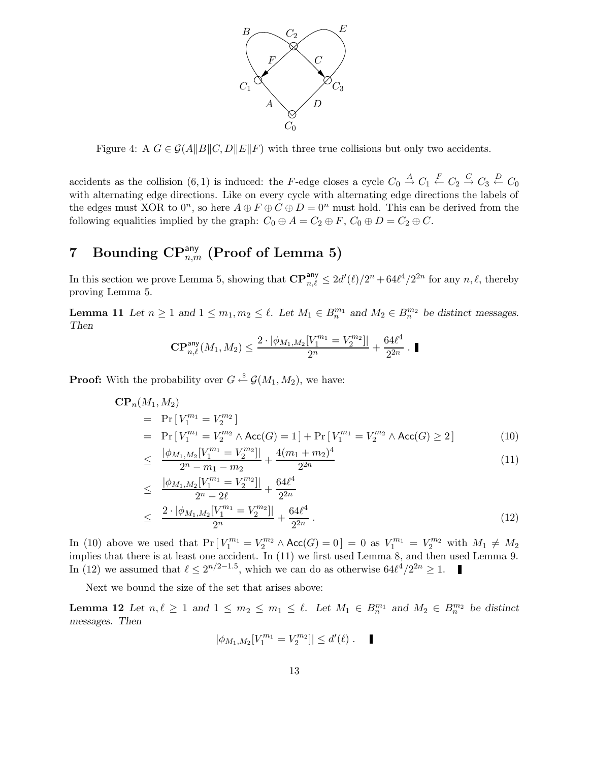

Figure 4: A  $G \in \mathcal{G}(A||B||C, D||E||F)$  with three true collisions but only two accidents.

accidents as the collision  $(6,1)$  is induced: the F-edge closes a cycle  $C_0 \stackrel{A}{\to} C_1 \stackrel{F}{\leftarrow} C_2 \stackrel{C}{\to} C_3 \stackrel{D}{\leftarrow} C_0$ with alternating edge directions. Like on every cycle with alternating edge directions the labels of the edges must XOR to  $0^n$ , so here  $A \oplus F \oplus C \oplus D = 0^n$  must hold. This can be derived from the following equalities implied by the graph:  $C_0 \oplus A = C_2 \oplus F$ ,  $C_0 \oplus D = C_2 \oplus C$ .

# $7 \quad \text{Bounding CP}_{n,m}^{\text{any}} \text{ (Proof of Lemma 5)}$

In this section we prove Lemma 5, showing that  $\mathbb{CP}_{n,\ell}^{\mathsf{any}} \leq 2d'(\ell)/2^n + 64\ell^4/2^{2n}$  for any  $n, \ell$ , thereby proving Lemma 5.

**Lemma 11** Let  $n \geq 1$  and  $1 \leq m_1, m_2 \leq \ell$ . Let  $M_1 \in B_n^{m_1}$  and  $M_2 \in B_n^{m_2}$  be distinct messages. Then

$$
\mathbf{CP}_{n,\ell}^{\mathsf{any}}(M_1, M_2) \le \frac{2 \cdot |\phi_{M_1, M_2}[V_1^{m_1} = V_2^{m_2}] |}{2^n} + \frac{64 \ell^4}{2^{2n}} \cdot \blacksquare
$$

**Proof:** With the probability over  $G \xleftarrow{\$} \mathcal{G}(M_1, M_2)$ , we have:

$$
\mathbf{CP}_n(M_1, M_2)
$$
  
=  $\Pr[V_1^{m_1} = V_2^{m_2}]$   
=  $\Pr[V_1^{m_1} = V_2^{m_2} \wedge \text{Acc}(G) = 1] + \Pr[V_1^{m_1} = V_2^{m_2} \wedge \text{Acc}(G) \ge 2]$  (10)  

$$
\log_{10}(V_1^{m_1} - V_2^{m_2}) = 4(m_1 + m_2)^4
$$

$$
\leq \frac{|\phi_{M_1,M_2}[V_1^{m_1}=V_2^{m_2}]|}{2^n - m_1 - m_2} + \frac{4(m_1+m_2)^4}{2^{2n}} \tag{11}
$$

$$
\leq \frac{|\phi_{M_1,M_2}[V_1^{m_1} = V_2^{m_2}]|}{2^n - 2\ell} + \frac{64\ell^4}{2^{2n}} \leq \frac{2 \cdot |\phi_{M_1,M_2}[V_1^{m_1} = V_2^{m_2}]|}{2^n} + \frac{64\ell^4}{2^{2n}}.
$$
\n(12)

In (10) above we used that  $Pr[V_1^{m_1} = V_2^{m_2} \wedge Acc(G) = 0] = 0$  as  $V_1^{m_1} = V_2^{m_2}$  with  $M_1 \neq M_2$ implies that there is at least one accident. In (11) we first used Lemma 8, and then used Lemma 9. In (12) we assumed that  $\ell \leq 2^{n/2-1.5}$ , which we can do as otherwise  $64\ell^4/2^{2n} \geq 1$ .

Next we bound the size of the set that arises above:

**Lemma 12** Let  $n, \ell \geq 1$  and  $1 \leq m_2 \leq m_1 \leq \ell$ . Let  $M_1 \in B_n^{m_1}$  and  $M_2 \in B_n^{m_2}$  be distinct messages. Then

$$
|\phi_{M_1,M_2}[V_1^{m_1}=V_2^{m_2}]| \leq d'(\ell) . \quad \blacksquare
$$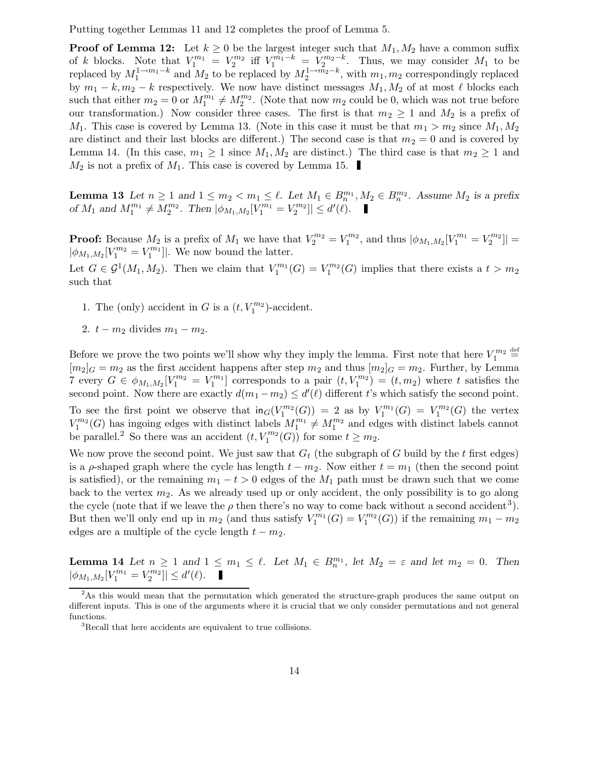Putting together Lemmas 11 and 12 completes the proof of Lemma 5.

**Proof of Lemma 12:** Let  $k \geq 0$  be the largest integer such that  $M_1, M_2$  have a common suffix of k blocks. Note that  $V_1^{m_1} = V_2^{m_2}$  iff  $V_1^{m_1-k} = V_2^{m_2-k}$ . Thus, we may consider  $M_1$  to be replaced by  $M_1^{1 \to m_1-k}$  and  $M_2$  to be replaced by  $M_2^{1 \to m_2-k}$ , with  $m_1, m_2$  correspondingly replaced by  $m_1 - k$ ,  $m_2 - k$  respectively. We now have distinct messages  $M_1, M_2$  of at most  $\ell$  blocks each such that either  $m_2 = 0$  or  $M_1^{m_1} \neq M_2^{m_2}$ . (Note that now  $m_2$  could be 0, which was not true before our transformation.) Now consider three cases. The first is that  $m_2 \geq 1$  and  $M_2$  is a prefix of  $M_1$ . This case is covered by Lemma 13. (Note in this case it must be that  $m_1 > m_2$  since  $M_1, M_2$ are distinct and their last blocks are different.) The second case is that  $m_2 = 0$  and is covered by Lemma 14. (In this case,  $m_1 \geq 1$  since  $M_1, M_2$  are distinct.) The third case is that  $m_2 \geq 1$  and  $M_2$  is not a prefix of  $M_1$ . This case is covered by Lemma 15.

**Lemma 13** Let  $n \geq 1$  and  $1 \leq m_2 < m_1 \leq \ell$ . Let  $M_1 \in B_n^{m_1}, M_2 \in B_n^{m_2}$ . Assume  $M_2$  is a prefix of  $M_1$  and  $M_1^{m_1} \neq M_2^{m_2}$ . Then  $|\phi_{M_1,M_2}[V_1^{m_1} = V_2^{m_2}]$  $\left| \sum_{2}^{m_{2}}\right| \leq d'(\ell).$ 

**Proof:** Because  $M_2$  is a prefix of  $M_1$  we have that  $V_2^{m_2} = V_1^{m_2}$  $t_1^{m_2}$ , and thus  $|\phi_{M_1,M_2}[V_1^{m_1} = V_2^{m_2}]$  $\left\lfloor \frac{m_2}{2} \right\rfloor \right| =$  $|\phi_{M_1,M_2}[V_1^{m_2}=V_1^{m_1}]$  $\binom{m_1}{1}$ . We now bound the latter.

Let  $G \in \mathcal{G}^1(M_1, M_2)$ . Then we claim that  $V_1^{m_1}(G) = V_1^{m_2}(G)$  implies that there exists a  $t > m_2$ such that

- 1. The (only) accident in G is a  $(t, V_1^{m_2})$  $\binom{m_2}{1}$ -accident.
- 2.  $t m_2$  divides  $m_1 m_2$ .

Before we prove the two points we'll show why they imply the lemma. First note that here  $V_1^{m_2} \stackrel{\text{def}}{=}$  $[m_2]_G = m_2$  as the first accident happens after step  $m_2$  and thus  $[m_2]_G = m_2$ . Further, by Lemma 7 every  $G \in \phi_{M_1,M_2}[V_1^{m_2} = V_1^{m_1}]$  corresponds to a pair  $(t, V_1^{m_2}) = (t, m_2)$  where t satisfies the second point. Now there are exactly  $d(m_1 - m_2) \le d'(\ell)$  different t's which satisfy the second point. To see the first point we observe that  $\text{in}_G(V_1^{m_2}(G)) = 2$  as by  $V_1^{m_1}(G) = V_1^{m_2}(G)$  the vertex  $V_1^{m_2}$  $M_1^{m_2}(G)$  has ingoing edges with distinct labels  $M_1^{m_1} \neq M_1^{m_2}$  and edges with distinct labels cannot be parallel.<sup>2</sup> So there was an accident  $(t, V_1^{m_2})$  $\chi_1^{m_2}(G)$  for some  $t \geq m_2$ .

We now prove the second point. We just saw that  $G_t$  (the subgraph of G build by the t first edges) is a  $\rho$ -shaped graph where the cycle has length  $t - m_2$ . Now either  $t = m_1$  (then the second point is satisfied), or the remaining  $m_1 - t > 0$  edges of the  $M_1$  path must be drawn such that we come back to the vertex  $m_2$ . As we already used up or only accident, the only possibility is to go along the cycle (note that if we leave the  $\rho$  then there's no way to come back without a second accident<sup>3</sup>). But then we'll only end up in  $m_2$  (and thus satisfy  $V_1^{m_1}$  $\chi_1^{m_1}(G) = V_1^{m_2}$  $\binom{m_2}{1}(G)$  if the remaining  $m_1 - m_2$ edges are a multiple of the cycle length  $t - m<sub>2</sub>$ .

**Lemma 14** Let  $n \geq 1$  and  $1 \leq m_1 \leq \ell$ . Let  $M_1 \in B_n^{m_1}$ , let  $M_2 = \varepsilon$  and let  $m_2 = 0$ . Then  $|\phi_{M_1,M_2}[V_1^{m_1} = V_2^{m_2}]$  $\left| \sum_{2}^{m_{2}}\right| \leq d'(\ell).$ 

<sup>&</sup>lt;sup>2</sup>As this would mean that the permutation which generated the structure-graph produces the same output on different inputs. This is one of the arguments where it is crucial that we only consider permutations and not general functions.

<sup>&</sup>lt;sup>3</sup>Recall that here accidents are equivalent to true collisions.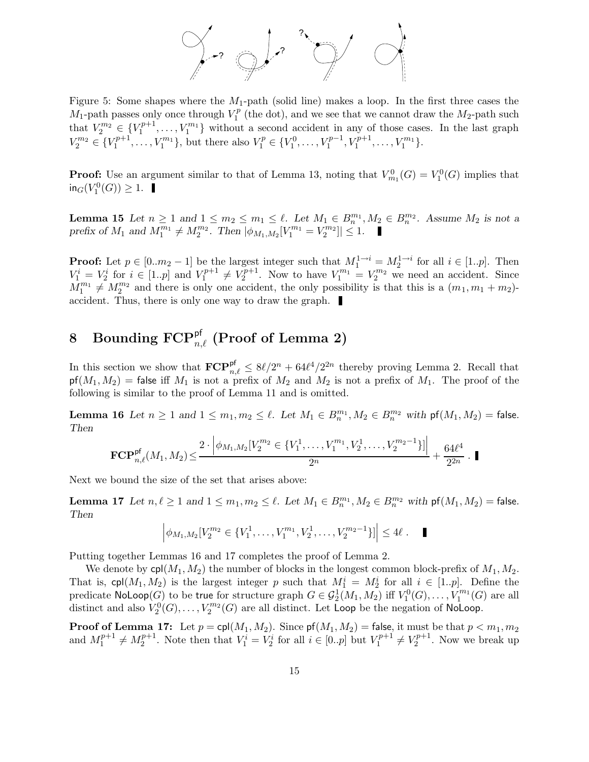

Figure 5: Some shapes where the  $M_1$ -path (solid line) makes a loop. In the first three cases the  $M_1$ -path passes only once through  $V_1^p$  (the dot), and we see that we cannot draw the  $M_2$ -path such 1 that  $V_2^{m_2} \in \{V_1^{p+1}$  $V_1^{p+1}, \ldots, V_1^{m_1}$  $\binom{m_1}{1}$  without a second accident in any of those cases. In the last graph  $V_2^{m_2} \in \{V_1^{p+1}$  $\{V_1^{p+1}, \ldots, V_1^{m_1}\},\$  but there also  $V_1^p \in \{V_1^0, \ldots, V_1^{p-1}\}$  $V_1^{p-1}, V_1^{p+1}$  $\{y_1^{p+1}, \ldots, V_1^{m_1}\}.$ 

**Proof:** Use an argument similar to that of Lemma 13, noting that  $V_{m_1}^0(G) = V_1^0(G)$  implies that  $\text{in}_G(V_1^0(G)) \geq 1.$ 

**Lemma 15** Let  $n \geq 1$  and  $1 \leq m_2 \leq m_1 \leq \ell$ . Let  $M_1 \in B_n^{m_1}, M_2 \in B_n^{m_2}$ . Assume  $M_2$  is not a prefix of  $M_1$  and  $M_1^{m_1} \neq M_2^{m_2}$ . Then  $|\phi_{M_1,M_2}[V_1^{m_1} = V_2^{m_2}]$  $\binom{m_2}{2} \leq 1.$ 

**Proof:** Let  $p \in [0..m_2-1]$  be the largest integer such that  $M_1^{1\to i} = M_2^{1\to i}$  for all  $i \in [1..p]$ . Then  $V_1^i = V_2^i$  for  $i \in [1..p]$  and  $V_1^{p+1}$  $V_1^{p+1} \neq V_2^{p+1}$  $V_1^{p+1}$ . Now to have  $V_1^{m_1} = V_2^{m_2}$  we need an accident. Since  $M_1^{m_1} \neq M_2^{m_2}$  and there is only one accident, the only possibility is that this is a  $(m_1, m_1 + m_2)$ accident. Thus, there is only one way to draw the graph.

# $8 \quad \text{Boundary } \text{FCP}^{\text{pf}}_{n,\ell} \text{ (Proof of Lemma 2)}$

In this section we show that  $\mathbf{FCP}_{n,\ell}^{\mathsf{pf}} \leq 8\ell/2^n + 64\ell^4/2^{2n}$  thereby proving Lemma 2. Recall that  $pf(M_1, M_2)$  = false iff  $M_1$  is not a prefix of  $M_2$  and  $M_2$  is not a prefix of  $M_1$ . The proof of the following is similar to the proof of Lemma 11 and is omitted.

**Lemma 16** Let  $n \geq 1$  and  $1 \leq m_1, m_2 \leq \ell$ . Let  $M_1 \in B_n^{m_1}, M_2 \in B_n^{m_2}$  with  $\mathsf{pf}(M_1, M_2) = \mathsf{false}$ . Then

$$
\mathbf{FCP}_{n,\ell}^{\mathsf{pf}}(M_1,M_2) \leq \frac{2 \cdot \left| \phi_{M_1,M_2}[V_2^{m_2} \in \{V_1^1,\ldots,V_1^{m_1},V_2^1,\ldots,V_2^{m_2-1}\}]\right|}{2^n} + \frac{64\ell^4}{2^{2n}}.
$$

Next we bound the size of the set that arises above:

**Lemma 17** Let  $n, \ell \ge 1$  and  $1 \le m_1, m_2 \le \ell$ . Let  $M_1 \in B_n^{m_1}, M_2 \in B_n^{m_2}$  with  $\mathsf{pf}(M_1, M_2) = \mathsf{false}$ . Then

$$
\left|\phi_{M_1,M_2}[V_2^{m_2} \in \{V_1^1,\ldots,V_1^{m_1},V_2^1,\ldots,V_2^{m_2-1}\}]\right| \leq 4\ell.
$$

Putting together Lemmas 16 and 17 completes the proof of Lemma 2.

We denote by  $\text{cpl}(M_1, M_2)$  the number of blocks in the longest common block-prefix of  $M_1, M_2$ . That is,  $\text{cpl}(M_1, M_2)$  is the largest integer p such that  $M_1^i = M_2^i$  for all  $i \in [1..p]$ . Define the predicate  $\mathsf{NoLoop}(G)$  to be true for structure graph  $G \in \mathcal{G}_2^1(M_1,M_2)$  iff  $V_1^0(G),\ldots,V_1^{m_1}$  $\binom{m_1}{1}(G)$  are all distinct and also  $V_2^0(G), \ldots, V_2^{m_2}$  $Z_2^{m_2}(G)$  are all distinct. Let Loop be the negation of NoLoop.

**Proof of Lemma 17:** Let  $p = \text{cpl}(M_1, M_2)$ . Since  $\text{pf}(M_1, M_2) = \text{false}$ , it must be that  $p < m_1, m_2$ and  $M_1^{p+1}$  $A_1^{p+1} \neq M_2^{p+1}$  $2^{p+1}$ . Note then that  $V_1^i = V_2^i$  for all  $i \in [0..p]$  but  $V_1^{p+1}$  $V_1^{p+1} \neq V_2^{p+1}$  $2^{r p+1}$ . Now we break up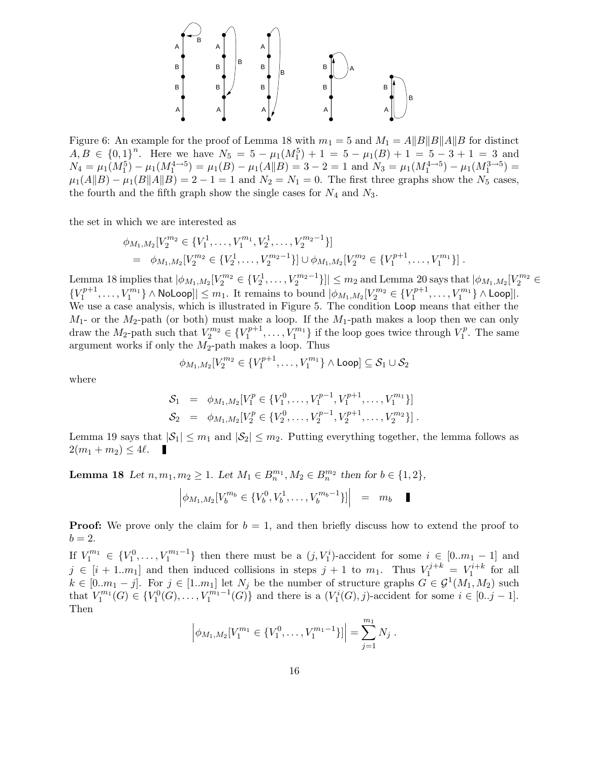

Figure 6: An example for the proof of Lemma 18 with  $m_1 = 5$  and  $M_1 = A||B||A||B$  for distinct  $A, B \in \{0, 1\}^n$ . Here we have  $N_5 = 5 - \mu_1(M_1^5) + 1 = 5 - \mu_1(B) + 1 = 5 - 3 + 1 = 3$  and  $N_4 = \mu_1(M_1^5) - \mu_1(M_1^{4 \to 5}) = \mu_1(B) - \mu_1(A||B) = 3 - 2 = 1$  and  $N_3 = \mu_1(M_1^{4 \to 5}) - \mu_1(M_1^{3 \to 5}) =$  $\mu_1(A||B) - \mu_1(B||A||B) = 2 - 1 = 1$  and  $N_2 = N_1 = 0$ . The first three graphs show the  $N_5$  cases, the fourth and the fifth graph show the single cases for  $N_4$  and  $N_3$ .

the set in which we are interested as

$$
\phi_{M_1,M_2}[V_2^{m_2} \in \{V_1^1,\ldots,V_1^{m_1},V_2^1,\ldots,V_2^{m_2-1}\}]
$$
  
=  $\phi_{M_1,M_2}[V_2^{m_2} \in \{V_2^1,\ldots,V_2^{m_2-1}\}] \cup \phi_{M_1,M_2}[V_2^{m_2} \in \{V_1^{p+1},\ldots,V_1^{m_1}\}].$ 

Lemma 18 implies that  $|\phi_{M_1,M_2}[V_2^{m_2} \in \{V_2^1,\ldots,V_2^{m_2-1}\}]| \leq m_2$  and Lemma 20 says that  $|\phi_{M_1,M_2}[V_2^{m_2} \in$  ${V_1^{p+1}}$  $\{p^{p+1},\ldots,V^{m_1}_1\}\wedge {\sf Noloop}]\leq m_1.$  It remains to bound  $|\phi_{M_1,M_2}[V^{m_2}_2\in \{V^{p+1}_1\}]\leq 0$  $\{V_1^{p+1},\ldots,V_1^{m_1}\}\wedge \textsf{Loop}$ ]. We use a case analysis, which is illustrated in Figure 5. The condition Loop means that either the  $M_1$ - or the  $M_2$ -path (or both) must make a loop. If the  $M_1$ -path makes a loop then we can only draw the  $M_2$ -path such that  $V_2^{m_2} \in \{V_1^{p+1}$  $\{y_1^{p+1}, \ldots, y_1^{m_1}\}\$  if the loop goes twice through  $V_1^p$  $I_1^p$ . The same argument works if only the  $M_2$ -path makes a loop. Thus

$$
\phi_{M_1,M_2}[V_2^{m_2} \in \{V_1^{p+1}, \ldots, V_1^{m_1}\} \land \text{Loop}] \subseteq \mathcal{S}_1 \cup \mathcal{S}_2
$$

where

$$
S_1 = \phi_{M_1, M_2}[V_1^p \in \{V_1^0, \dots, V_1^{p-1}, V_1^{p+1}, \dots, V_1^{m_1}\}]
$$
  
\n
$$
S_2 = \phi_{M_1, M_2}[V_2^p \in \{V_2^0, \dots, V_2^{p-1}, V_2^{p+1}, \dots, V_2^{m_2}\}].
$$

Lemma 19 says that  $|\mathcal{S}_1| \leq m_1$  and  $|\mathcal{S}_2| \leq m_2$ . Putting everything together, the lemma follows as  $2(m_1 + m_2) \leq 4\ell.$ 

**Lemma 18** Let  $n, m_1, m_2 \ge 1$ . Let  $M_1 \in B_n^{m_1}, M_2 \in B_n^{m_2}$  then for  $b \in \{1, 2\}$ ,

$$
\left| \phi_{M_1, M_2} [V_b^{m_b} \in \{V_b^0, V_b^1, \dots, V_b^{m_b - 1}\}] \right| = m_b \quad \blacksquare
$$

**Proof:** We prove only the claim for  $b = 1$ , and then briefly discuss how to extend the proof to  $b=2.$ 

If  $V_1^{m_1} \in \{V_1^0, \ldots, V_1^{m_1-1}\}\$  then there must be a  $(j, V_1^i)$ -accident for some  $i \in [0..m_1-1]$  and  $j \in [i+1..m_1]$  and then induced collisions in steps  $j+1$  to  $m_1$ . Thus  $V_1^{j+k} = V_1^{i+k}$  for all  $k \in [0..m_1-j]$ . For  $j \in [1..m_1]$  let  $N_j$  be the number of structure graphs  $G \in \mathcal{G}^1(M_1, M_2)$  such that  $V_1^{m_1}$  $V_1^{m_1}(G) \in \{V_1^0(G), \ldots, V_1^{m_1-1}\}$  $\binom{m_1-1}{1}(G)$  and there is a  $(V_1^i(G), j)$ -accident for some  $i \in [0..j-1]$ . Then

$$
\left|\phi_{M_1,M_2}[V_1^{m_1} \in \{V_1^0,\ldots,V_1^{m_1-1}\}]\right| = \sum_{j=1}^{m_1} N_j.
$$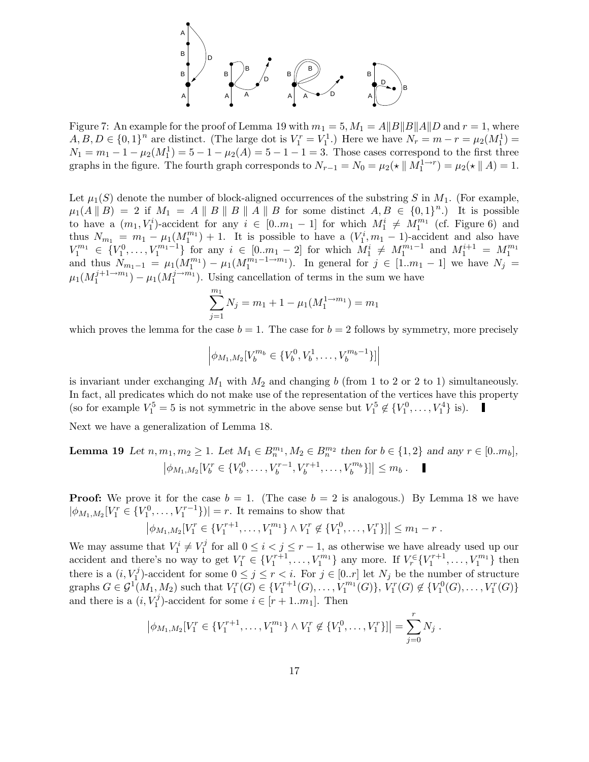

Figure 7: An example for the proof of Lemma 19 with  $m_1 = 5$ ,  $M_1 = A||B||B||A||D$  and  $r = 1$ , where  $A, B, D \in \{0, 1\}^n$  are distinct. (The large dot is  $V_1^r = V_1^1$ .) Here we have  $N_r = m - r = \mu_2(M_1^1) =$  $N_1 = m_1 - 1 - \mu_2(M_1^1) = 5 - 1 - \mu_2(A) = 5 - 1 - 1 = 3$ . Those cases correspond to the first three graphs in the figure. The fourth graph corresponds to  $N_{r-1} = N_0 = \mu_2(\star \parallel M_1^{1 \to r}) = \mu_2(\star \parallel A) = 1$ .

Let  $\mu_1(S)$  denote the number of block-aligned occurrences of the substring S in  $M_1$ . (For example,  $\mu_1(A \parallel B) = 2$  if  $M_1 = A \parallel B \parallel B \parallel A \parallel B$  for some distinct  $A, B \in \{0,1\}^n$ . It is possible to have a  $(m_1, V_1^i)$ -accident for any  $i \in [0..m_1-1]$  for which  $M_1^i \neq M_1^{m_1}$  (cf. Figure 6) and thus  $N_{m_1} = m_1 - \mu_1(M_1^{m_1}) + 1$ . It is possible to have a  $(V_1^i, m_1 - 1)$ -accident and also have  $V_1^{m_1} \in \{V_1^0, \ldots, V_1^{m_1-1}\}$  for any  $i \in [0 \ldots m_1-2]$  for which  $M_1^i \neq M_1^{m_1-1}$  and  $M_1^{i+1} = M_1^{m_1}$  and thus  $N_{m_1-1} = \mu_1(M_1^{m_1}) - \mu_1(M_1^{m_1-1 \to m_1})$ . In general for  $j \in [1 \ldots m_1-1]$  we have  $N_j =$  $\mu_1(M_1^{j+1\rightarrow m_1}$  $j+1 \rightarrow m_1 \rightarrow \mu_1 (M_1^{j \rightarrow m_1})$  $1^{(j \rightarrow m_1)}$ . Using cancellation of terms in the sum we have

$$
\sum_{j=1}^{m_1} N_j = m_1 + 1 - \mu_1(M_1^{1 \to m_1}) = m_1
$$

which proves the lemma for the case  $b = 1$ . The case for  $b = 2$  follows by symmetry, more precisely

$$
\left|\phi_{M_1,M_2}[V_b^{m_b} \in \{V_b^0, V_b^1, \dots, V_b^{m_b-1}\}]\right|
$$

is invariant under exchanging  $M_1$  with  $M_2$  and changing b (from 1 to 2 or 2 to 1) simultaneously. In fact, all predicates which do not make use of the representation of the vertices have this property (so for example  $V_1^5 = 5$  is not symmetric in the above sense but  $V_1^5 \notin \{V_1^0, \ldots, V_1^4\}$  is).

Next we have a generalization of Lemma 18.

**Lemma 19** Let  $n, m_1, m_2 \ge 1$ . Let  $M_1 \in B_n^{m_1}, M_2 \in B_n^{m_2}$  then for  $b \in \{1, 2\}$  and any  $r \in [0..m_b]$ ,  $\phi_{M_1,M_2}[V_b^r \in \{V_b^0, \ldots, V_b^{r-1}]$  $b^{r-1}, V_b^{r+1}$  $\left| \sum_{b}^{r+1}, \ldots, V_{b}^{m_{b}} \right| \leq m_{b}.$ 

**Proof:** We prove it for the case  $b = 1$ . (The case  $b = 2$  is analogous.) By Lemma 18 we have  $|\phi_{M_1,M_2}[V_1^r \in \{V_1^0, \ldots, V_1^{r-1}\}]| = r$ . It remains to show that

$$
\left|\phi_{M_1,M_2}[V_1^r \in \{V_1^{r+1},\ldots,V_1^{m_1}\} \wedge V_1^r \notin \{V_1^0,\ldots,V_1^r\}]\right| \leq m_1 - r.
$$

We may assume that  $V_1^i \neq V_1^j$  $\sum_{i=1}^{j}$  for all  $0 \leq i < j \leq r-1$ , as otherwise we have already used up our accident and there's no way to get  $V_1^r \in \{V_1^{r+1}, \ldots, V_1^{m_1}\}$  $\{r_1^{m_1}\}\$ any more. If  $V_r^{\in} \{V_1^{r+1}, \ldots, V_1^{m_1}\}$  $\{m_1\}\$  then there is a  $(i, V_1^j)$ <sup>1</sup>/<sub>1</sub>)-accident for some  $0 \leq j \leq r < i$ . For  $j \in [0..r]$  let  $N_j$  be the number of structure graphs  $G \in \mathcal{G}^1(M_1, M_2)$  such that  $V_1^r(G) \in \{V_1^{r+1}(G), \ldots, V_1^{m_1}\}$  $\{V_1^m(G)\},\ V_1^r(G)\not\in \{V_1^0(G),\ldots,V_1^r(G)\}\$ and there is a  $(i, V_1^j)$  $(i')$ -accident for some  $i \in [r+1..m_1]$ . Then

$$
\left|\phi_{M_1,M_2}[V_1^r \in \{V_1^{r+1}, \ldots, V_1^{m_1}\} \wedge V_1^r \notin \{V_1^0, \ldots, V_1^r\}]\right| = \sum_{j=0}^r N_j.
$$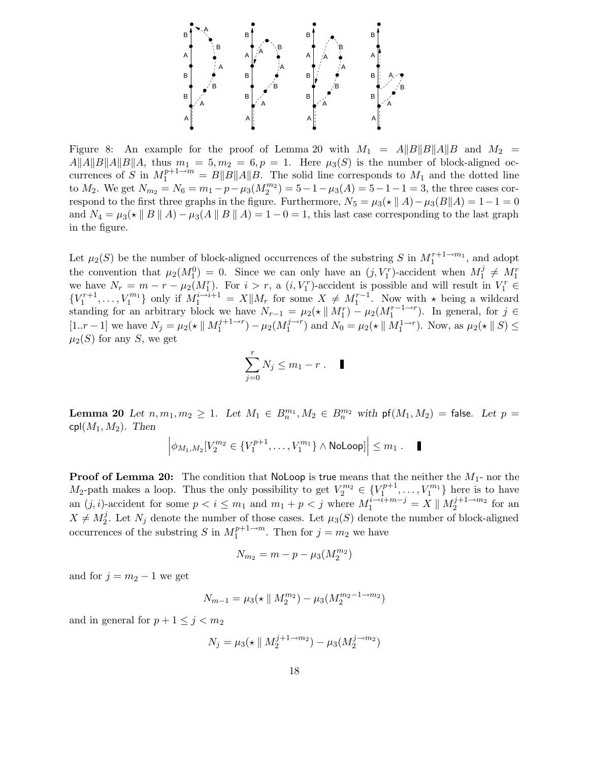

Figure 8: An example for the proof of Lemma 20 with  $M_1 = A||B||B||A||B$  and  $M_2 =$  $A||A||B||A||B||A$ , thus  $m_1 = 5, m_2 = 6, p = 1$ . Here  $\mu_3(S)$  is the number of block-aligned occurrences of S in  $M_1^{p+1\to m} = B||B||A||B$ . The solid line corresponds to  $M_1$  and the dotted line to  $M_2$ . We get  $N_{m_2} = N_6 = m_1 - p - \mu_3(M_2^{m_2}) = 5 - 1 - \mu_3(A) = 5 - 1 - 1 = 3$ , the three cases correspond to the first three graphs in the figure. Furthermore,  $N_5 = \mu_3(\star || A) - \mu_3(B|| A) = 1 - 1 = 0$ and  $N_4 = \mu_3(\star \parallel B \parallel A) - \mu_3(A \parallel B \parallel A) = 1 - 0 = 1$ , this last case corresponding to the last graph in the figure.

Let  $\mu_2(S)$  be the number of block-aligned occurrences of the substring S in  $M_1^{r+1 \to m_1}$ , and adopt the convention that  $\mu_2(M_1^0) = 0$ . Since we can only have an  $(j, V_1^r)$ -accident when  $M_1^j$  $j_1^j \neq M_1^r$ we have  $N_r = m - r - \mu_2(M_1^r)$ . For  $i > r$ , a  $(i, V_1^r)$ -accident is possible and will result in  $V_1^r \in$  ${V_1^{r+1}, \ldots, V_1^{m_1}}$  $\{X_{1}^{m_{1}}\}$  only if  $M_{1}^{i\rightarrow i+1} = X||M_{r}$  for some  $X \neq M_{1}^{r-1}$ . Now with  $\star$  being a wildcard standing for an arbitrary block we have  $N_{r-1} = \mu_2(\star \parallel M_1^r) - \mu_2(M_1^{r-1\to r})$ . In general, for  $j \in$ [1..*r* - 1] we have  $N_j = \mu_2(\star \parallel M_1^{j+1 \to r})$  $j+1 \to r$ <sub>1</sub> –  $\mu_2(M_1^{j \to r})$  $\binom{j\rightarrow r}{1}$  and  $N_0 = \mu_2(\star \parallel M_1^{1\rightarrow r})$ . Now, as  $\mu_2(\star \parallel S) \leq$  $\mu_2(S)$  for any S, we get

$$
\sum_{j=0}^r N_j \le m_1 - r \ . \quad \blacksquare
$$

**Lemma 20** Let  $n, m_1, m_2 \ge 1$ . Let  $M_1 \in B_n^{m_1}, M_2 \in B_n^{m_2}$  with  $\mathsf{pf}(M_1, M_2) = \mathsf{false}$ . Let  $p =$  $\text{cpl}(M_1, M_2)$ . Then

$$
\left|\phi_{M_1,M_2}[V_2^{m_2}\in\{V_1^{p+1},\ldots,V_1^{m_1}\}\wedge\text{Noloop}]\right|\leq m_1\ .\quad \blacksquare
$$

**Proof of Lemma 20:** The condition that NoLoop is true means that the neither the  $M_1$ - nor the  $M_2$ -path makes a loop. Thus the only possibility to get  $V_2^{m_2} \in \{V_1^{p+1}$  $V_1^{p+1}, \ldots, V_1^{m_1}$  $\binom{m_1}{1}$  here is to have an  $(j, i)$ -accident for some  $p < i \leq m_1$  and  $m_1 + p < j$  where  $M_1^{i \to i+m-j} = X \parallel M_2^{j+1 \to m_2}$  $i_2^{(n+1)}$  for an  $X \neq M_2^j$ <sup>2</sup>. Let  $N_j$  denote the number of those cases. Let  $\mu_3(S)$  denote the number of block-aligned occurrences of the substring S in  $M_1^{p+1 \to m}$  $j^{p+1\rightarrow m}_{1}$ . Then for  $j = m_2$  we have

$$
N_{m_2}=m-p-\mu_3(M_2^{m_2})
$$

and for  $j = m_2 - 1$  we get

$$
N_{m-1} = \mu_3(\star \parallel M_2^{m_2}) - \mu_3(M_2^{m_2-1 \to m_2})
$$

and in general for  $p + 1 \leq j < m_2$ 

$$
N_j = \mu_3(\star \parallel M_2^{j+1 \to m_2}) - \mu_3(M_2^{j \to m_2})
$$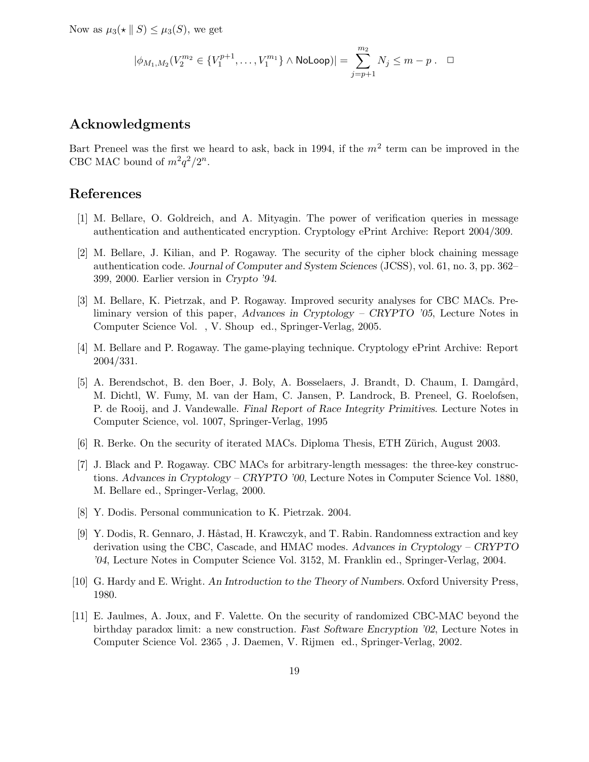Now as  $\mu_3(\star \parallel S) \leq \mu_3(S)$ , we get

$$
|\phi_{M_1,M_2}(V_2^{m_2} \in \{V_1^{p+1}, \ldots, V_1^{m_1}\} \wedge \text{Noloop})| = \sum_{j=p+1}^{m_2} N_j \le m-p \ . \quad \Box
$$

## Acknowledgments

Bart Preneel was the first we heard to ask, back in 1994, if the  $m<sup>2</sup>$  term can be improved in the CBC MAC bound of  $m^2q^2/2^n$ .

### References

- [1] M. Bellare, O. Goldreich, and A. Mityagin. The power of verification queries in message authentication and authenticated encryption. Cryptology ePrint Archive: Report 2004/309.
- [2] M. Bellare, J. Kilian, and P. Rogaway. The security of the cipher block chaining message authentication code. Journal of Computer and System Sciences (JCSS), vol. 61, no. 3, pp. 362– 399, 2000. Earlier version in Crypto '94.
- [3] M. Bellare, K. Pietrzak, and P. Rogaway. Improved security analyses for CBC MACs. Preliminary version of this paper, Advances in Cryptology – CRYPTO '05, Lecture Notes in Computer Science Vol. , V. Shoup ed., Springer-Verlag, 2005.
- [4] M. Bellare and P. Rogaway. The game-playing technique. Cryptology ePrint Archive: Report 2004/331.
- [5] A. Berendschot, B. den Boer, J. Boly, A. Bosselaers, J. Brandt, D. Chaum, I. Damgård, M. Dichtl, W. Fumy, M. van der Ham, C. Jansen, P. Landrock, B. Preneel, G. Roelofsen, P. de Rooij, and J. Vandewalle. Final Report of Race Integrity Primitives. Lecture Notes in Computer Science, vol. 1007, Springer-Verlag, 1995
- [6] R. Berke. On the security of iterated MACs. Diploma Thesis, ETH Zürich, August 2003.
- [7] J. Black and P. Rogaway. CBC MACs for arbitrary-length messages: the three-key constructions. Advances in Cryptology – CRYPTO '00, Lecture Notes in Computer Science Vol. 1880, M. Bellare ed., Springer-Verlag, 2000.
- [8] Y. Dodis. Personal communication to K. Pietrzak. 2004.
- [9] Y. Dodis, R. Gennaro, J. Håstad, H. Krawczyk, and T. Rabin. Randomness extraction and key derivation using the CBC, Cascade, and HMAC modes. Advances in Cryptology – CRYPTO '04, Lecture Notes in Computer Science Vol. 3152, M. Franklin ed., Springer-Verlag, 2004.
- [10] G. Hardy and E. Wright. An Introduction to the Theory of Numbers. Oxford University Press, 1980.
- [11] E. Jaulmes, A. Joux, and F. Valette. On the security of randomized CBC-MAC beyond the birthday paradox limit: a new construction. Fast Software Encryption '02, Lecture Notes in Computer Science Vol. 2365 , J. Daemen, V. Rijmen ed., Springer-Verlag, 2002.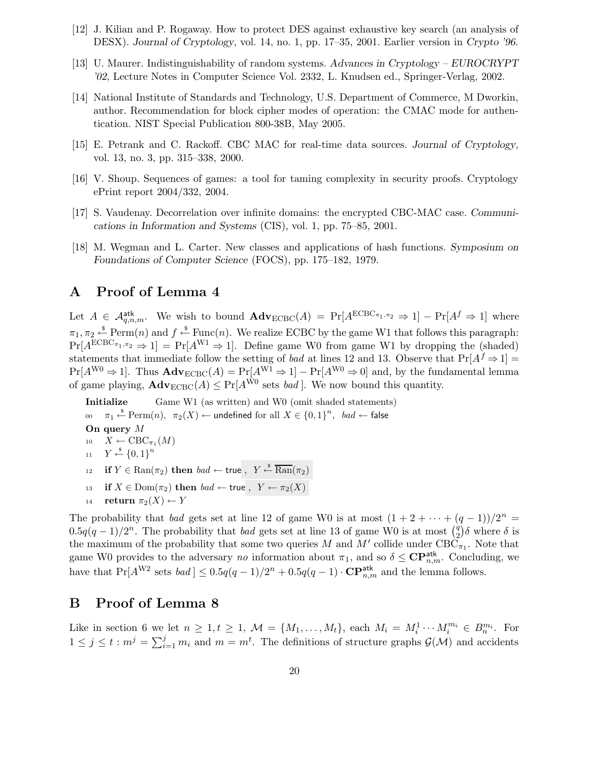- [12] J. Kilian and P. Rogaway. How to protect DES against exhaustive key search (an analysis of DESX). Journal of Cryptology, vol. 14, no. 1, pp. 17–35, 2001. Earlier version in Crypto '96.
- [13] U. Maurer. Indistinguishability of random systems. Advances in Cryptology EUROCRYPT '02, Lecture Notes in Computer Science Vol. 2332, L. Knudsen ed., Springer-Verlag, 2002.
- [14] National Institute of Standards and Technology, U.S. Department of Commerce, M Dworkin, author. Recommendation for block cipher modes of operation: the CMAC mode for authentication. NIST Special Publication 800-38B, May 2005.
- [15] E. Petrank and C. Rackoff. CBC MAC for real-time data sources. Journal of Cryptology, vol. 13, no. 3, pp. 315–338, 2000.
- [16] V. Shoup. Sequences of games: a tool for taming complexity in security proofs. Cryptology ePrint report 2004/332, 2004.
- [17] S. Vaudenay. Decorrelation over infinite domains: the encrypted CBC-MAC case. Communications in Information and Systems (CIS), vol. 1, pp. 75–85, 2001.
- [18] M. Wegman and L. Carter. New classes and applications of hash functions. Symposium on Foundations of Computer Science (FOCS), pp. 175–182, 1979.

# A Proof of Lemma 4

Let  $A \in \mathcal{A}_{q,n,m}^{\text{atk}}$ . We wish to bound  $\text{Adv}_{\text{ECBC}}(A) = \Pr[A^{\text{ECBC}_{\pi_1,\pi_2}} \Rightarrow 1] - \Pr[A^f \Rightarrow 1]$  where  $\pi_1, \pi_2 \stackrel{\$}{\leftarrow} \text{Perm}(n)$  and  $f \stackrel{\$}{\leftarrow} \text{Func}(n)$ . We realize ECBC by the game W1 that follows this paragraph:  $Pr[A^{ECBC_{\pi_1,\pi_2}} \Rightarrow 1] = Pr[A^{W1} \Rightarrow 1]$ . Define game W0 from game W1 by dropping the (shaded) statements that immediate follow the setting of *bad* at lines 12 and 13. Observe that  $Pr[A^f \Rightarrow 1] =$  $Pr[A^{W0} \Rightarrow 1]$ . Thus  $\mathbf{Adv}_{ECBC}(A) = Pr[A^{W1} \Rightarrow 1] - Pr[A^{W0} \Rightarrow 0]$  and, by the fundamental lemma of game playing,  $\mathbf{Adv}_{\text{ECBC}}(A) \leq \Pr[A^{\dot{W}0} \text{ sets } bad]$ . We now bound this quantity.

Initialize Game W1 (as written) and W0 (omit shaded statements) 00  $\pi_1 \stackrel{\hspace{0.1em}\mathsf{\scriptscriptstyle\$}}{\leftarrow} \mathrm{Perm}(n), \ \ \pi_2(X) \stackrel{}{\leftarrow}$  undefined for all  $X \in \{0,1\}^n, \ \ bad \leftarrow \mathsf{false}$ On query M 10  $X \leftarrow \text{CBC}_{\pi_1}(M)$ 11  $Y \stackrel{\$}{\leftarrow} \{0,1\}^n$ 12 if  $Y \in \text{Ran}(\pi_2)$  then  $bad \leftarrow \text{true}$ ,  $Y \stackrel{\hspace{0.1em}\mathsf{\scriptscriptstyle\$}}{\leftarrow} \overline{\text{Ran}}(\pi_2)$ 13 if  $X \in \text{Dom}(\pi_2)$  then  $bad \leftarrow \text{true}$ ,  $Y \leftarrow \pi_2(X)$ 14 return  $\pi_2(X) \leftarrow Y$ 

The probability that bad gets set at line 12 of game W0 is at most  $(1 + 2 + \cdots + (q - 1))/2^n$  $0.5q(q-1)/2^n$ . The probability that *bad* gets set at line 13 of game W0 is at most  $\binom{q}{2}$  $\left(\frac{q}{2}\right)\delta$  where  $\delta$  is the maximum of the probability that some two queries M and M' collide under  $\text{CBC}_{\pi_1}$ . Note that game W0 provides to the adversary no information about  $\pi_1$ , and so  $\delta \leq \mathbf{CP}_{n,m}^{\text{atk}}$ . Concluding, we have that  $Pr[A^{W2} \text{ sets } bad] \leq 0.5q(q-1)/2^n + 0.5q(q-1) \cdot \mathbf{CP}_{n,m}^{\text{atk}}$  and the lemma follows.

# B Proof of Lemma 8

Like in section 6 we let  $n \geq 1, t \geq 1, \mathcal{M} = \{M_1, \ldots, M_t\}$ , each  $M_i = M_i^1 \cdots M_i^{m_i} \in B_n^{m_i}$ . For  $1 \leq j \leq t : m^j = \sum_{i=1}^j m_i$  and  $m = m^t$ . The definitions of structure graphs  $\mathcal{G}(\mathcal{M})$  and accidents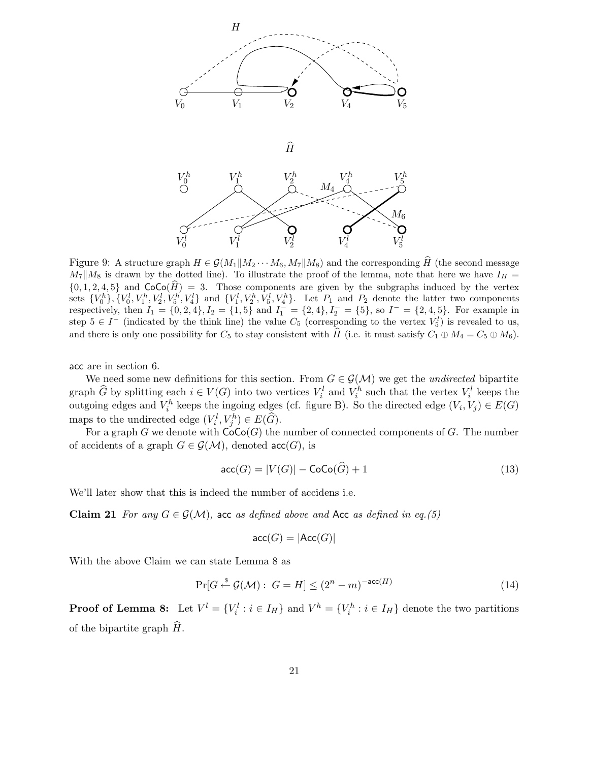

Figure 9: A structure graph  $H \in \mathcal{G}(M_1||M_2 \cdots M_6, M_7||M_8)$  and the corresponding H (the second message  $M_7||M_8$  is drawn by the dotted line). To illustrate the proof of the lemma, note that here we have  $I_H =$  $\{0, 1, 2, 4, 5\}$  and  $\text{CoCo}(\hat{H}) = 3$ . Those components are given by the subgraphs induced by the vertex sets  ${V_0^h}$ ,  ${V_0^l}$ ,  $V_1^h$ ,  $V_2^l$ ,  $V_5^h$ ,  $V_4^l$ } and  ${V_1^l}$ ,  $V_2^h$ ,  $V_5^l$ ,  $V_4^h$ }. Let  $P_1$  and  $P_2$  denote the latter two components respectively, then  $I_1 = \{0, 2, 4\}, I_2 = \{1, 5\}$  and  $I_1^{\text{-}} = \{2, 4\}, I_2^{\text{-}} = \{5\}$ , so  $I^{\text{-}} = \{2, 4, 5\}$ . For example in step  $5 \in I^-$  (indicated by the think line) the value  $C_5$  (corresponding to the vertex  $V_5^l$ ) is revealed to us, and there is only one possibility for  $C_5$  to stay consistent with H (i.e. it must satisfy  $C_1 \oplus M_4 = C_5 \oplus M_6$ ).

acc are in section 6.

We need some new definitions for this section. From  $G \in \mathcal{G}(\mathcal{M})$  we get the *undirected* bipartite graph  $\widehat{G}$  by splitting each  $i \in V(G)$  into two vertices  $V_i^l$  and  $V_i^h$  such that the vertex  $V_i^l$  keeps the outgoing edges and  $V_i^h$  keeps the ingoing edges (cf. figure B). So the directed edge  $(V_i, V_j) \in E(G)$ maps to the undirected edge  $(V_i^l, V_j^h) \in E(\widehat{G})$ .

For a graph G we denote with  $CoCo(G)$  the number of connected components of G. The number of accidents of a graph  $G \in \mathcal{G}(\mathcal{M})$ , denoted acc $(G)$ , is

$$
\operatorname{acc}(G) = |V(G)| - \operatorname{CoCo}(G) + 1 \tag{13}
$$

We'll later show that this is indeed the number of accidens i.e.

**Claim 21** For any  $G \in \mathcal{G}(\mathcal{M})$ , acc as defined above and Acc as defined in eq.(5)

$$
\mathsf{acc}(G) = |\mathsf{Acc}(G)|
$$

With the above Claim we can state Lemma 8 as

$$
\Pr[G \stackrel{\$}{\leftarrow} \mathcal{G}(\mathcal{M}): G = H] \le (2^n - m)^{-\text{acc}(H)} \tag{14}
$$

**Proof of Lemma 8:** Let  $V^l = \{V_i^l : i \in I_H\}$  and  $V^h = \{V_i^h : i \in I_H\}$  denote the two partitions of the bipartite graph  $H$ .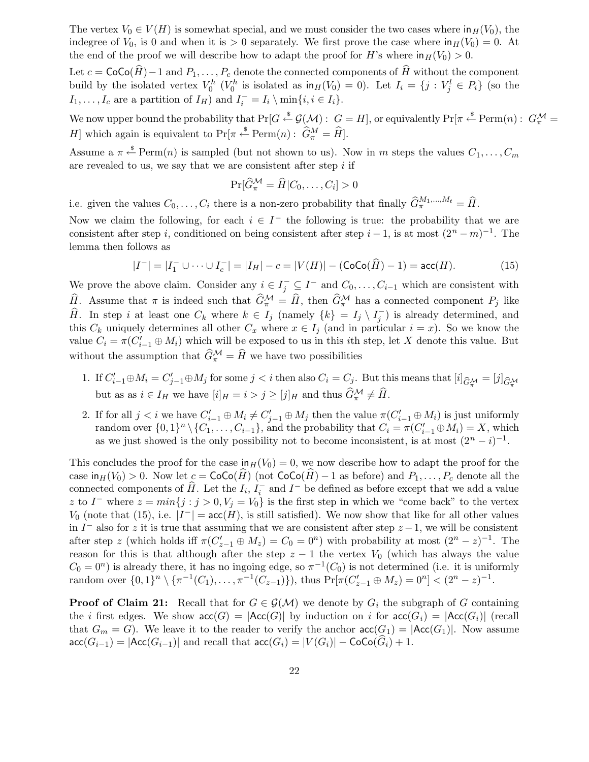The vertex  $V_0 \in V(H)$  is somewhat special, and we must consider the two cases where  $\text{in}_H(V_0)$ , the indegree of  $V_0$ , is 0 and when it is > 0 separately. We first prove the case where  $\ln H(V_0) = 0$ . At the end of the proof we will describe how to adapt the proof for H's where  $\ln H(V_0) > 0$ .

Let  $c = \text{CoCo}(\widehat{H})-1$  and  $P_1, \ldots, P_c$  denote the connected components of  $\widehat{H}$  without the component build by the isolated vertex  $V_0^h$  ( $V_0^h$  is isolated as  $\ln_H(V_0) = 0$ ). Let  $I_i = \{j : V_j^l \in P_i\}$  (so the  $I_1, \ldots, I_c$  are a partition of  $I_H$ ) and  $I_i^- = I_i \setminus \min\{i, i \in I_i\}.$ 

We now upper bound the probability that  $Pr[G \stackrel{\$}{\leftarrow} \mathcal{G}(\mathcal{M}) : G = H]$ , or equivalently  $Pr[\pi \stackrel{\$}{\leftarrow} Perm(n) : G_{\pi}^{\mathcal{M}} =$ *H*] which again is equivalent to  $Pr[\pi \stackrel{\text{s}}{\leftarrow} Perm(n): \hat{G}_{\pi}^M = \hat{H}].$ 

Assume a  $\pi \stackrel{\$}{\leftarrow} \text{Perm}(n)$  is sampled (but not shown to us). Now in m steps the values  $C_1, \ldots, C_m$ are revealed to us, we say that we are consistent after step  $i$  if

$$
\Pr[\widehat{G}_{\pi}^{\mathcal{M}} = \widehat{H}|C_0, \dots, C_i] > 0
$$

i.e. given the values  $C_0, \ldots, C_i$  there is a non-zero probability that finally  $\widehat{G}_{\pi}^{M_1,\ldots,M_t} = \widehat{H}$ .

Now we claim the following, for each  $i \in I^-$  the following is true: the probability that we are consistent after step i, conditioned on being consistent after step  $i-1$ , is at most  $(2<sup>n</sup> - m)<sup>-1</sup>$ . The lemma then follows as

$$
|I^{-}| = |I_{1}^{-} \cup \dots \cup I_{c}^{-}| = |I_{H}| - c = |V(H)| - (\text{CoCo}(\widehat{H}) - 1) = \text{acc}(H). \tag{15}
$$

We prove the above claim. Consider any  $i \in I_j^- \subseteq I^-$  and  $C_0, \ldots, C_{i-1}$  which are consistent with  $\widehat{H}$ . Assume that  $\pi$  is indeed such that  $\widehat{G}_{\pi}^{\mathcal{M}} = \widehat{H}$ , then  $\widehat{G}_{\pi}^{\mathcal{M}}$  has a connected component  $P_j$  like  $\widehat{H}$ . In step i at least one  $C_k$  where  $k \in I_j$  (namely  $\{k\} = I_j \setminus I_j^-$ ) is already determined, and this  $C_k$  uniquely determines all other  $C_x$  where  $x \in I_i$  (and in particular  $i = x$ ). So we know the value  $C_i = \pi(C'_{i-1} \oplus M_i)$  which will be exposed to us in this *i*th step, let X denote this value. But without the assumption that  $\widehat{G}_{\pi}^{\mathcal{M}} = \widehat{H}$  we have two possibilities

- 1. If  $C'_{i-1}\oplus M_i = C'_{j-1}\oplus M_j$  for some  $j < i$  then also  $C_i = C_j$ . But this means that  $[i]_{\widehat{G}_\pi^{\mathcal{M}}} = [j]_{\widehat{G}_\pi^{\mathcal{M}}}$ but as as  $i \in I_H$  we have  $[i]_H = i > j \geq [j]_H$  and thus  $\widehat{G}_\pi^{\mathcal{M}} \neq \widehat{H}$ .
- 2. If for all  $j < i$  we have  $C'_{i-1} \oplus M_i \neq C'_{j-1} \oplus M_j$  then the value  $\pi(C'_{i-1} \oplus M_i)$  is just uniformly random over  $\{0,1\}^n \setminus \{C_1,\ldots,C_{i-1}\}$ , and the probability that  $C_i = \pi(C'_{i-1} \oplus M_i) = X$ , which as we just showed is the only possibility not to become inconsistent, is at most  $(2^{n} - i)^{-1}$ .

This concludes the proof for the case  $\ln H(V_0) = 0$ , we now describe how to adapt the proof for the case  $\text{in}_{H}(V_0) > 0$ . Now let  $c = \text{CoCo}(H)$  (not  $\text{CoCo}(H) - 1$  as before) and  $P_1, \ldots, P_c$  denote all the connected components of  $\widehat{H}$ . Let the  $I_i$ ,  $I_i^-$  and  $I^-$  be defined as before except that we add a value z to  $I^-$  where  $z = min\{j : j > 0, V_j = V_0\}$  is the first step in which we "come back" to the vertex  $V_0$  (note that (15), i.e.  $|I^-|$  =  $\operatorname{acc}(H)$ , is still satisfied). We now show that like for all other values in  $I^-$  also for z it is true that assuming that we are consistent after step  $z - 1$ , we will be consistent after step z (which holds iff  $\pi(C_{z-1}' \oplus M_z) = C_0 = 0^n$ ) with probability at most  $(2^n - z)^{-1}$ . The reason for this is that although after the step  $z - 1$  the vertex  $V_0$  (which has always the value  $C_0 = 0^n$ ) is already there, it has no ingoing edge, so  $\pi^{-1}(C_0)$  is not determined (i.e. it is uniformly random over  $\{0,1\}^n \setminus {\pi^{-1}(C_1), \ldots, \pi^{-1}(C_{z-1})\}$ , thus  $\Pr[\pi(C'_{z-1} \oplus M_z) = 0^n] < (2^n - z)^{-1}$ .

**Proof of Claim 21:** Recall that for  $G \in \mathcal{G}(\mathcal{M})$  we denote by  $G_i$  the subgraph of G containing the *i* first edges. We show  $\text{acc}(G) = |\text{Acc}(G)|$  by induction on *i* for  $\text{acc}(G_i) = |\text{Acc}(G_i)|$  (recall that  $G_m = G$ ). We leave it to the reader to verify the anchor  $\text{acc}(G_1) = |\text{Acc}(G_1)|$ . Now assume  $\textsf{acc}(G_{i-1}) = |\textsf{Acc}(G_{i-1})|$  and recall that  $\textsf{acc}(G_i) = |V(G_i)| - \textsf{CoCo}(G_i) + 1$ .